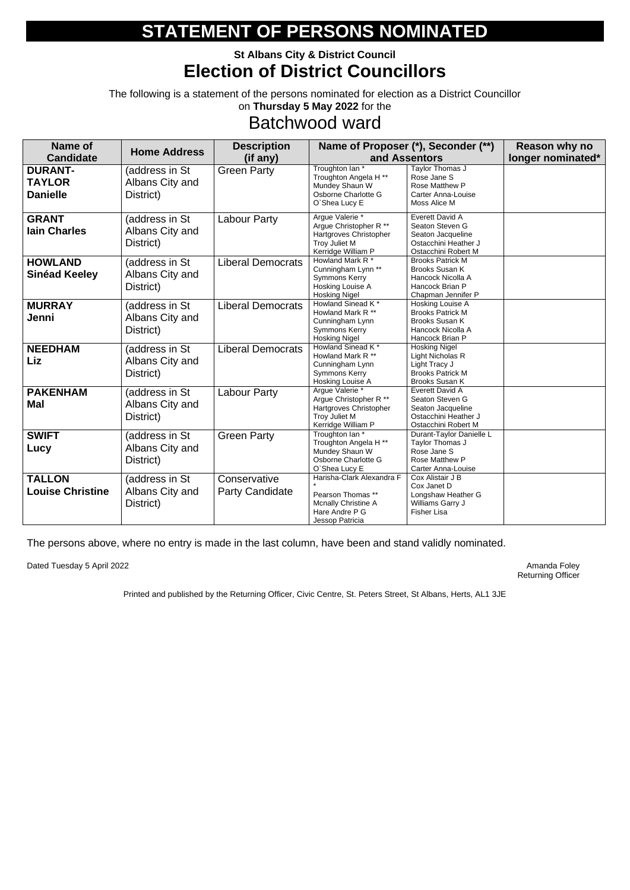### **St Albans City & District Council Election of District Councillors**

The following is a statement of the persons nominated for election as a District Councillor on **Thursday 5 May 2022** for the

## Batchwood ward

| <b>Name of</b>                                     | <b>Home Address</b>                            | <b>Description</b>                     |                                                                                                                              | Name of Proposer (*), Seconder (**)                                                                           | Reason why no     |
|----------------------------------------------------|------------------------------------------------|----------------------------------------|------------------------------------------------------------------------------------------------------------------------------|---------------------------------------------------------------------------------------------------------------|-------------------|
| <b>Candidate</b>                                   |                                                | (if any)                               |                                                                                                                              | and Assentors                                                                                                 | longer nominated* |
| <b>DURANT-</b><br><b>TAYLOR</b><br><b>Danielle</b> | (address in St<br>Albans City and<br>District) | <b>Green Party</b>                     | Troughton Ian *<br>Troughton Angela H <sup>**</sup><br>Mundey Shaun W<br>Osborne Charlotte G<br>O'Shea Lucy E                | Taylor Thomas J<br>Rose Jane S<br>Rose Matthew P<br><b>Carter Anna-Louise</b><br>Moss Alice M                 |                   |
| <b>GRANT</b><br><b>lain Charles</b>                | (address in St<br>Albans City and<br>District) | <b>Labour Party</b>                    | Argue Valerie *<br>Argue Christopher R **<br>Hartgroves Christopher<br>Troy Juliet M<br>Kerridge William P                   | <b>Everett David A</b><br>Seaton Steven G<br>Seaton Jacqueline<br>Ostacchini Heather J<br>Ostacchini Robert M |                   |
| <b>HOWLAND</b><br><b>Sinéad Keeley</b>             | (address in St<br>Albans City and<br>District) | <b>Liberal Democrats</b>               | Howland Mark R <sup>*</sup><br>Cunningham Lynn **<br><b>Symmons Kerry</b><br>Hosking Louise A<br><b>Hosking Nigel</b>        | <b>Brooks Patrick M</b><br>Brooks Susan K<br>Hancock Nicolla A<br>Hancock Brian P<br>Chapman Jennifer P       |                   |
| <b>MURRAY</b><br>Jenni                             | (address in St<br>Albans City and<br>District) | <b>Liberal Democrats</b>               | Howland Sinead K*<br>Howland Mark R **<br>Cunningham Lynn<br><b>Symmons Kerry</b><br><b>Hosking Nigel</b>                    | Hosking Louise A<br><b>Brooks Patrick M</b><br><b>Brooks Susan K</b><br>Hancock Nicolla A<br>Hancock Brian P  |                   |
| <b>NEEDHAM</b><br>Liz                              | (address in St<br>Albans City and<br>District) | <b>Liberal Democrats</b>               | Howland Sinead K <sup>*</sup><br>Howland Mark R <sup>**</sup><br>Cunningham Lynn<br><b>Symmons Kerry</b><br>Hosking Louise A | <b>Hosking Nigel</b><br>Light Nicholas R<br>Light Tracy J<br><b>Brooks Patrick M</b><br>Brooks Susan K        |                   |
| <b>PAKENHAM</b><br>Mal                             | (address in St<br>Albans City and<br>District) | <b>Labour Party</b>                    | Argue Valerie *<br>Argue Christopher R **<br>Hartgroves Christopher<br>Troy Juliet M<br>Kerridge William P                   | Everett David A<br>Seaton Steven G<br>Seaton Jacqueline<br>Ostacchini Heather J<br>Ostacchini Robert M        |                   |
| <b>SWIFT</b><br>Lucy                               | (address in St<br>Albans City and<br>District) | <b>Green Party</b>                     | Troughton Ian *<br>Troughton Angela H <sup>**</sup><br>Mundey Shaun W<br>Osborne Charlotte G<br>O'Shea Lucy E                | Durant-Taylor Danielle L<br>Taylor Thomas J<br>Rose Jane S<br>Rose Matthew P<br>Carter Anna-Louise            |                   |
| <b>TALLON</b><br><b>Louise Christine</b>           | (address in St<br>Albans City and<br>District) | Conservative<br><b>Party Candidate</b> | Harisha-Clark Alexandra F<br>Pearson Thomas **<br>Mcnally Christine A<br>Hare Andre P G<br>Jessop Patricia                   | Cox Alistair J B<br>Cox Janet D<br>Longshaw Heather G<br>Williams Garry J<br>Fisher Lisa                      |                   |

The persons above, where no entry is made in the last column, have been and stand validly nominated.

Dated Tuesday 5 April 2022 **Amanda Foley** Amanda Foley

Returning Officer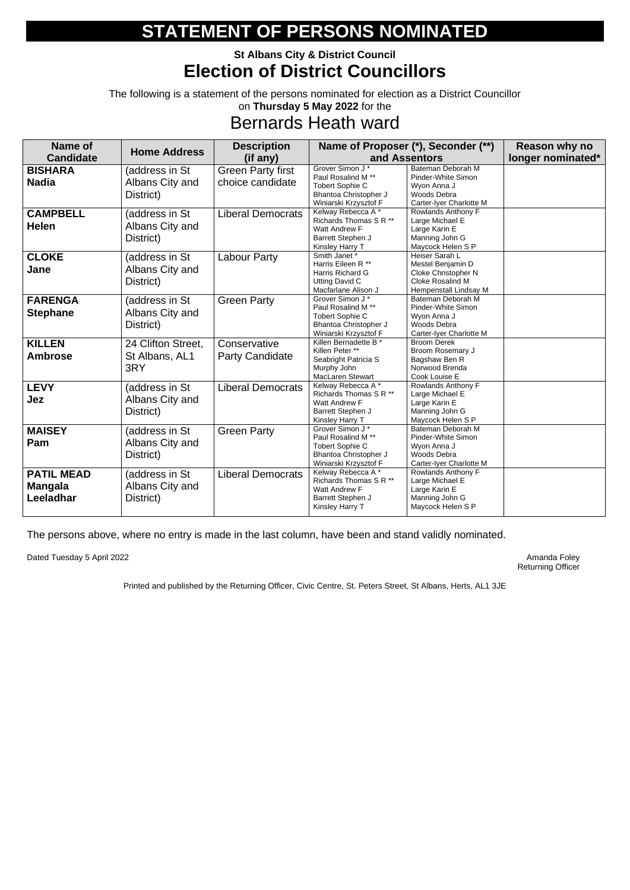### **St Albans City & District Council Election of District Councillors**

The following is a statement of the persons nominated for election as a District Councillor on **Thursday 5 May 2022** for the

## Bernards Heath ward

| Name of<br><b>Candidate</b>                      | <b>Home Address</b>                            | <b>Description</b><br>(if any)               |                                                                                                                              | Name of Proposer (*), Seconder (**)<br>and Assentors                                                    | Reason why no<br>longer nominated* |
|--------------------------------------------------|------------------------------------------------|----------------------------------------------|------------------------------------------------------------------------------------------------------------------------------|---------------------------------------------------------------------------------------------------------|------------------------------------|
| <b>BISHARA</b><br><b>Nadia</b>                   | (address in St<br>Albans City and<br>District) | <b>Green Party first</b><br>choice candidate | Grover Simon J*<br>Paul Rosalind M <sup>**</sup><br><b>Tobert Sophie C</b><br>Bhantoa Christopher J<br>Winiarski Krzysztof F | Bateman Deborah M<br>Pinder-White Simon<br>Wyon Anna J<br>Woods Debra<br>Carter-Iyer Charlotte M        |                                    |
| <b>CAMPBELL</b><br><b>Helen</b>                  | (address in St<br>Albans City and<br>District) | <b>Liberal Democrats</b>                     | Kelway Rebecca A*<br>Richards Thomas S R **<br>Watt Andrew F<br>Barrett Stephen J<br>Kinsley Harry T                         | Rowlands Anthony F<br>Large Michael E<br>Large Karin E<br>Manning John G<br>Maycock Helen S P           |                                    |
| <b>CLOKE</b><br>Jane                             | (address in St<br>Albans City and<br>District) | <b>Labour Party</b>                          | Smith Janet *<br>Harris Eileen R **<br>Harris Richard G<br><b>Utting David C</b><br>Macfarlane Alison J                      | Heiser Sarah L<br>Mestel Benjamin D<br>Cloke Christopher N<br>Cloke Rosalind M<br>Hempenstall Lindsay M |                                    |
| <b>FARENGA</b><br><b>Stephane</b>                | (address in St<br>Albans City and<br>District) | <b>Green Party</b>                           | Grover Simon J*<br>Paul Rosalind M <sup>**</sup><br>Tobert Sophie C<br>Bhantoa Christopher J<br>Winiarski Krzysztof F        | Bateman Deborah M<br>Pinder-White Simon<br>Wyon Anna J<br>Woods Debra<br>Carter-Iyer Charlotte M        |                                    |
| <b>KILLEN</b><br><b>Ambrose</b>                  | 24 Clifton Street,<br>St Albans, AL1<br>3RY    | Conservative<br><b>Party Candidate</b>       | Killen Bernadette B *<br>Killen Peter **<br>Seabright Patricia S<br>Murphy John<br>MacLaren Stewart                          | <b>Broom Derek</b><br><b>Broom Rosemary J</b><br>Bagshaw Ben R<br>Norwood Brenda<br>Cook Louise E       |                                    |
| <b>LEVY</b><br><b>Jez</b>                        | (address in St<br>Albans City and<br>District) | <b>Liberal Democrats</b>                     | Kelway Rebecca A*<br>Richards Thomas S R **<br>Watt Andrew F<br>Barrett Stephen J<br>Kinsley Harry T                         | Rowlands Anthony F<br>Large Michael E<br>Large Karin E<br>Manning John G<br>Maycock Helen S P           |                                    |
| <b>MAISEY</b><br>Pam                             | (address in St<br>Albans City and<br>District) | <b>Green Party</b>                           | Grover Simon J*<br>Paul Rosalind M <sup>**</sup><br>Tobert Sophie C<br>Bhantoa Christopher J<br>Winiarski Krzysztof F        | Bateman Deborah M<br>Pinder-White Simon<br>Wyon Anna J<br>Woods Debra<br>Carter-Iyer Charlotte M        |                                    |
| <b>PATIL MEAD</b><br><b>Mangala</b><br>Leeladhar | (address in St<br>Albans City and<br>District) | <b>Liberal Democrats</b>                     | Kelway Rebecca A*<br>Richards Thomas S R **<br>Watt Andrew F<br><b>Barrett Stephen J</b><br>Kinsley Harry T                  | Rowlands Anthony F<br>Large Michael E<br>Large Karin E<br>Manning John G<br>Maycock Helen S P           |                                    |

The persons above, where no entry is made in the last column, have been and stand validly nominated.

Dated Tuesday 5 April 2022 **Amanda Foley** Amanda Foley

Returning Officer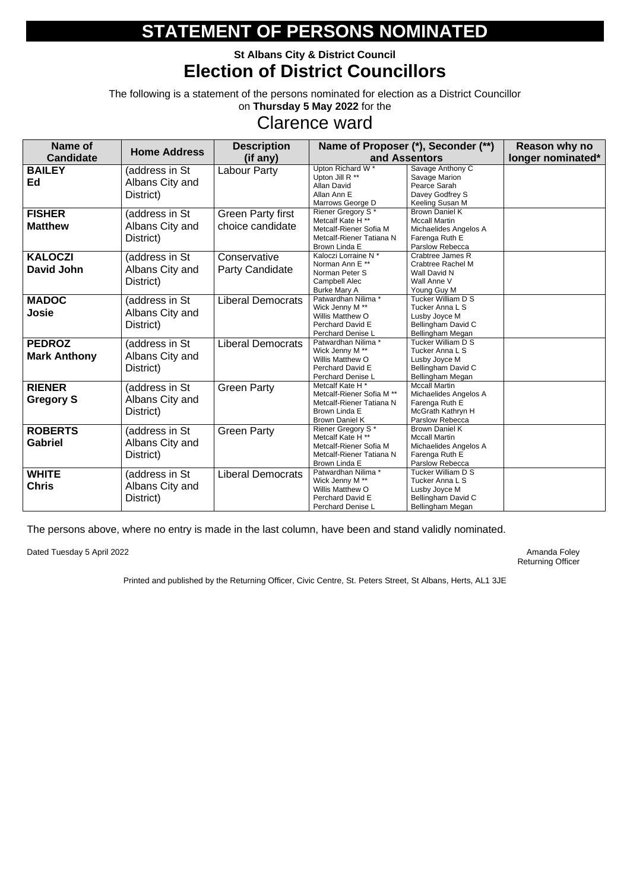### **St Albans City & District Council Election of District Councillors**

The following is a statement of the persons nominated for election as a District Councillor on **Thursday 5 May 2022** for the

## Clarence ward

| <b>Name of</b>                       | <b>Home Address</b>                            | <b>Description</b>                           |                                                                                                                                      | Name of Proposer (*), Seconder (**)                                                                         | Reason why no     |
|--------------------------------------|------------------------------------------------|----------------------------------------------|--------------------------------------------------------------------------------------------------------------------------------------|-------------------------------------------------------------------------------------------------------------|-------------------|
| <b>Candidate</b>                     |                                                | (if any)                                     |                                                                                                                                      | and Assentors                                                                                               | longer nominated* |
| <b>BAILEY</b><br>Ed                  | (address in St<br>Albans City and<br>District) | <b>Labour Party</b>                          | Upton Richard W <sup>*</sup><br>Upton Jill R **<br><b>Allan David</b><br>Allan Ann E<br>Marrows George D                             | Savage Anthony C<br>Savage Marion<br>Pearce Sarah<br>Davey Godfrey S<br>Keeling Susan M                     |                   |
| <b>FISHER</b><br><b>Matthew</b>      | (address in St<br>Albans City and<br>District) | <b>Green Party first</b><br>choice candidate | Riener Gregory S*<br>Metcalf Kate H <sup>**</sup><br>Metcalf-Riener Sofia M<br>Metcalf-Riener Tatiana N<br>Brown Linda E             | <b>Brown Daniel K</b><br><b>Mccall Martin</b><br>Michaelides Angelos A<br>Farenga Ruth E<br>Parslow Rebecca |                   |
| <b>KALOCZI</b><br><b>David John</b>  | (address in St<br>Albans City and<br>District) | Conservative<br><b>Party Candidate</b>       | Kaloczi Lorraine N*<br>Norman Ann E **<br>Norman Peter S<br>Campbell Alec<br><b>Burke Mary A</b>                                     | Crabtree James R<br><b>Crabtree Rachel M</b><br>Wall David N<br>Wall Anne V<br>Young Guy M                  |                   |
| <b>MADOC</b><br><b>Josie</b>         | (address in St<br>Albans City and<br>District) | <b>Liberal Democrats</b>                     | Patwardhan Nilima *<br>Wick Jenny M **<br>Willis Matthew O<br>Perchard David E<br>Perchard Denise L                                  | <b>Tucker William D S</b><br>Tucker Anna L S<br>Lusby Joyce M<br>Bellingham David C<br>Bellingham Megan     |                   |
| <b>PEDROZ</b><br><b>Mark Anthony</b> | (address in St<br>Albans City and<br>District) | <b>Liberal Democrats</b>                     | Patwardhan Nilima *<br>Wick Jenny M **<br>Willis Matthew O<br>Perchard David E<br>Perchard Denise L                                  | Tucker William D S<br>Tucker Anna L S<br>Lusby Joyce M<br>Bellingham David C<br>Bellingham Megan            |                   |
| <b>RIENER</b><br><b>Gregory S</b>    | (address in St<br>Albans City and<br>District) | <b>Green Party</b>                           | Metcalf Kate H <sup>*</sup><br>Metcalf-Riener Sofia M **<br>Metcalf-Riener Tatiana N<br>Brown Linda E<br><b>Brown Daniel K</b>       | <b>Mccall Martin</b><br>Michaelides Angelos A<br>Farenga Ruth E<br>McGrath Kathryn H<br>Parslow Rebecca     |                   |
| <b>ROBERTS</b><br><b>Gabriel</b>     | (address in St<br>Albans City and<br>District) | <b>Green Party</b>                           | Riener Gregory S <sup>*</sup><br>Metcalf Kate H <sup>**</sup><br>Metcalf-Riener Sofia M<br>Metcalf-Riener Tatiana N<br>Brown Linda E | <b>Brown Daniel K</b><br><b>Mccall Martin</b><br>Michaelides Angelos A<br>Farenga Ruth E<br>Parslow Rebecca |                   |
| <b>WHITE</b><br><b>Chris</b>         | (address in St<br>Albans City and<br>District) | <b>Liberal Democrats</b>                     | Patwardhan Nilima*<br>Wick Jenny M **<br>Willis Matthew O<br>Perchard David E<br>Perchard Denise L                                   | Tucker William D S<br>Tucker Anna L S<br>Lusby Joyce M<br>Bellingham David C<br>Bellingham Megan            |                   |

The persons above, where no entry is made in the last column, have been and stand validly nominated.

Dated Tuesday 5 April 2022 **Amanda Foley** Amanda Foley

Returning Officer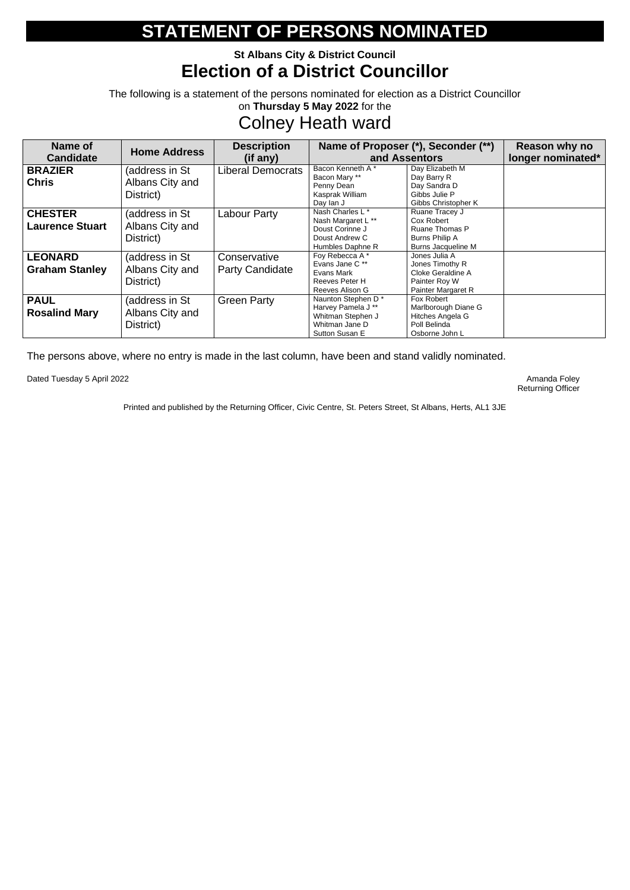### **St Albans City & District Council Election of a District Councillor**

The following is a statement of the persons nominated for election as a District Councillor on **Thursday 5 May 2022** for the

## Colney Heath ward

| Name of                                  | <b>Home Address</b>                            | <b>Description</b>                     |                                                                                                            | Name of Proposer (*), Seconder (**)                                                           | Reason why no     |
|------------------------------------------|------------------------------------------------|----------------------------------------|------------------------------------------------------------------------------------------------------------|-----------------------------------------------------------------------------------------------|-------------------|
| <b>Candidate</b>                         |                                                | (if any)                               |                                                                                                            | and Assentors                                                                                 | longer nominated* |
| <b>BRAZIER</b><br><b>Chris</b>           | (address in St<br>Albans City and<br>District) | <b>Liberal Democrats</b>               | Bacon Kenneth A*<br>Bacon Mary **<br>Penny Dean<br>Kasprak William<br>Day lan J                            | Day Elizabeth M<br>Day Barry R<br>Day Sandra D<br>Gibbs Julie P<br>Gibbs Christopher K        |                   |
| <b>CHESTER</b><br><b>Laurence Stuart</b> | (address in St<br>Albans City and<br>District) | Labour Party                           | Nash Charles L <sup>*</sup><br>Nash Margaret L **<br>Doust Corinne J<br>Doust Andrew C<br>Humbles Daphne R | Ruane Tracey J<br>Cox Robert<br>Ruane Thomas P<br>Burns Philip A<br><b>Burns Jacqueline M</b> |                   |
| <b>LEONARD</b><br><b>Graham Stanley</b>  | (address in St<br>Albans City and<br>District) | Conservative<br><b>Party Candidate</b> | Foy Rebecca A*<br>Evans Jane C**<br>Evans Mark<br>Reeves Peter H<br>Reeves Alison G                        | Jones Julia A<br>Jones Timothy R<br>Cloke Geraldine A<br>Painter Roy W<br>Painter Margaret R  |                   |
| <b>PAUL</b><br><b>Rosalind Mary</b>      | (address in St<br>Albans City and<br>District) | <b>Green Party</b>                     | Naunton Stephen D*<br>Harvey Pamela J **<br>Whitman Stephen J<br>Whitman Jane D<br>Sutton Susan E          | Fox Robert<br>Marlborough Diane G<br>Hitches Angela G<br>Poll Belinda<br>Osborne John L       |                   |

The persons above, where no entry is made in the last column, have been and stand validly nominated.

Dated Tuesday 5 April 2022 **Amanda Foley** Amanda Foley

Returning Officer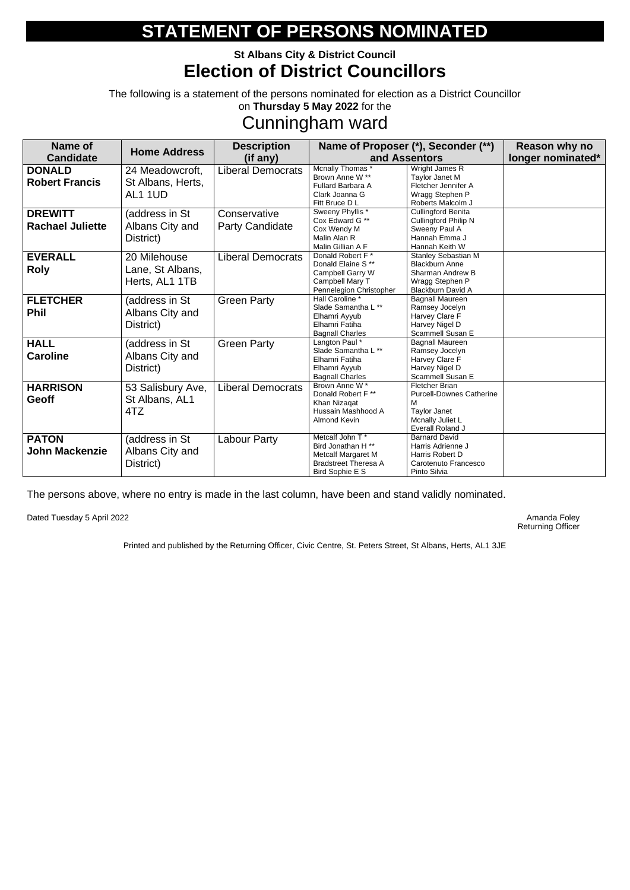### **St Albans City & District Council Election of District Councillors**

The following is a statement of the persons nominated for election as a District Councillor on **Thursday 5 May 2022** for the

## Cunningham ward

| Name of<br><b>Candidate</b>               | <b>Home Address</b>                                | <b>Description</b><br>(if any)         |                                                                                                                     | Name of Proposer (*), Seconder (**)<br>and Assentors                                                                         | Reason why no<br>longer nominated* |
|-------------------------------------------|----------------------------------------------------|----------------------------------------|---------------------------------------------------------------------------------------------------------------------|------------------------------------------------------------------------------------------------------------------------------|------------------------------------|
| <b>DONALD</b><br><b>Robert Francis</b>    | 24 Meadowcroft,<br>St Albans, Herts,<br>AL1 1UD    | <b>Liberal Democrats</b>               | Mcnally Thomas *<br>Brown Anne W **<br>Fullard Barbara A<br>Clark Joanna G<br>Fitt Bruce D L                        | Wright James R<br>Taylor Janet M<br>Fletcher Jennifer A<br>Wragg Stephen P<br>Roberts Malcolm J                              |                                    |
| <b>DREWITT</b><br><b>Rachael Juliette</b> | (address in St<br>Albans City and<br>District)     | Conservative<br><b>Party Candidate</b> | Sweeny Phyllis <sup>*</sup><br>Cox Edward G **<br>Cox Wendy M<br>Malin Alan R<br>Malin Gillian A F                  | <b>Cullingford Benita</b><br><b>Cullingford Philip N</b><br>Sweeny Paul A<br>Hannah Emma J<br>Hannah Keith W                 |                                    |
| <b>EVERALL</b><br><b>Roly</b>             | 20 Milehouse<br>Lane, St Albans,<br>Herts, AL1 1TB | <b>Liberal Democrats</b>               | Donald Robert F*<br>Donald Elaine S**<br>Campbell Garry W<br>Campbell Mary T<br>Pennelegion Christopher             | <b>Stanley Sebastian M</b><br><b>Blackburn Anne</b><br>Sharman Andrew B<br>Wragg Stephen P<br><b>Blackburn David A</b>       |                                    |
| <b>FLETCHER</b><br><b>Phil</b>            | (address in St<br>Albans City and<br>District)     | <b>Green Party</b>                     | Hall Caroline *<br>Slade Samantha L **<br>Elhamri Ayyub<br>Elhamri Fatiha<br><b>Bagnall Charles</b>                 | <b>Bagnall Maureen</b><br>Ramsey Jocelyn<br>Harvey Clare F<br>Harvey Nigel D<br>Scammell Susan E                             |                                    |
| <b>HALL</b><br><b>Caroline</b>            | (address in St<br>Albans City and<br>District)     | <b>Green Party</b>                     | Langton Paul *<br>Slade Samantha L**<br>Elhamri Fatiha<br>Elhamri Ayyub<br><b>Bagnall Charles</b>                   | <b>Bagnall Maureen</b><br>Ramsey Jocelyn<br>Harvey Clare F<br>Harvey Nigel D<br>Scammell Susan E                             |                                    |
| <b>HARRISON</b><br><b>Geoff</b>           | 53 Salisbury Ave,<br>St Albans, AL1<br>4TZ         | <b>Liberal Democrats</b>               | Brown Anne W*<br>Donald Robert F **<br>Khan Nizagat<br>Hussain Mashhood A<br><b>Almond Kevin</b>                    | <b>Fletcher Brian</b><br><b>Purcell-Downes Catherine</b><br>M<br><b>Taylor Janet</b><br>Mcnally Juliet L<br>Everall Roland J |                                    |
| <b>PATON</b><br><b>John Mackenzie</b>     | (address in St<br>Albans City and<br>District)     | <b>Labour Party</b>                    | Metcalf John T*<br>Bird Jonathan H**<br><b>Metcalf Margaret M</b><br><b>Bradstreet Theresa A</b><br>Bird Sophie E S | <b>Barnard David</b><br>Harris Adrienne J<br>Harris Robert D<br>Carotenuto Francesco<br>Pinto Silvia                         |                                    |

The persons above, where no entry is made in the last column, have been and stand validly nominated.

Dated Tuesday 5 April 2022 **Amanda Foley** Amanda Foley

Returning Officer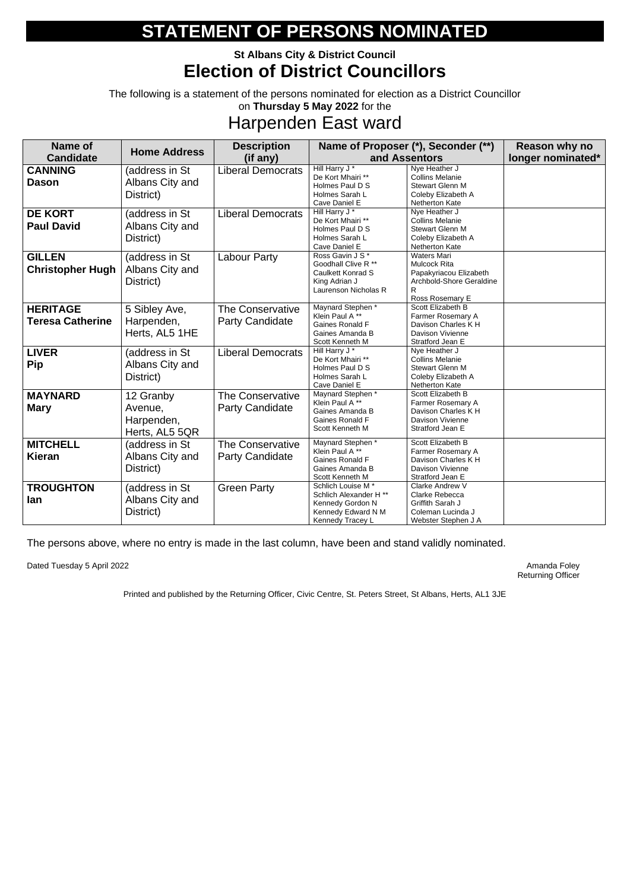### **St Albans City & District Council Election of District Councillors**

The following is a statement of the persons nominated for election as a District Councillor on **Thursday 5 May 2022** for the

## Harpenden East ward

| <b>Name of</b>                             | <b>Home Address</b>                                  | <b>Description</b>                                |                                                                                                                      | Name of Proposer (*), Seconder (**)                                                                                     | Reason why no     |
|--------------------------------------------|------------------------------------------------------|---------------------------------------------------|----------------------------------------------------------------------------------------------------------------------|-------------------------------------------------------------------------------------------------------------------------|-------------------|
| <b>Candidate</b>                           |                                                      | (if any)                                          |                                                                                                                      | and Assentors                                                                                                           | longer nominated* |
| <b>CANNING</b><br><b>Dason</b>             | (address in St<br>Albans City and<br>District)       | <b>Liberal Democrats</b>                          | Hill Harry J <sup>*</sup><br>De Kort Mhairi **<br>Holmes Paul D S<br>Holmes Sarah L<br>Cave Daniel E                 | Nye Heather J<br><b>Collins Melanie</b><br><b>Stewart Glenn M</b><br>Coleby Elizabeth A<br>Netherton Kate               |                   |
| <b>DE KORT</b><br><b>Paul David</b>        | (address in St<br>Albans City and<br>District)       | <b>Liberal Democrats</b>                          | Hill Harry J*<br>De Kort Mhairi **<br>Holmes Paul D S<br>Holmes Sarah L<br>Cave Daniel E                             | Nye Heather J<br><b>Collins Melanie</b><br><b>Stewart Glenn M</b><br>Coleby Elizabeth A<br>Netherton Kate               |                   |
| <b>GILLEN</b><br><b>Christopher Hugh</b>   | (address in St<br>Albans City and<br>District)       | <b>Labour Party</b>                               | Ross Gavin J S*<br>Goodhall Clive R **<br>Caulkett Konrad S<br>King Adrian J<br>Laurenson Nicholas R                 | <b>Waters Mari</b><br><b>Mulcock Rita</b><br>Papakyriacou Elizabeth<br>Archbold-Shore Geraldine<br>R<br>Ross Rosemary E |                   |
| <b>HERITAGE</b><br><b>Teresa Catherine</b> | 5 Sibley Ave,<br>Harpenden,<br>Herts, AL5 1HE        | <b>The Conservative</b><br><b>Party Candidate</b> | Maynard Stephen *<br>Klein Paul A <sup>**</sup><br>Gaines Ronald F<br>Gaines Amanda B<br>Scott Kenneth M             | Scott Elizabeth B<br>Farmer Rosemary A<br>Davison Charles K H<br>Davison Vivienne<br>Stratford Jean E                   |                   |
| <b>LIVER</b><br><b>Pip</b>                 | (address in St<br>Albans City and<br>District)       | <b>Liberal Democrats</b>                          | Hill Harry J*<br>De Kort Mhairi **<br>Holmes Paul D S<br>Holmes Sarah L<br>Cave Daniel E                             | Nye Heather J<br><b>Collins Melanie</b><br><b>Stewart Glenn M</b><br>Coleby Elizabeth A<br>Netherton Kate               |                   |
| <b>MAYNARD</b><br><b>Mary</b>              | 12 Granby<br>Avenue,<br>Harpenden,<br>Herts, AL5 5QR | <b>The Conservative</b><br><b>Party Candidate</b> | Maynard Stephen *<br>Klein Paul A**<br>Gaines Amanda B<br>Gaines Ronald F<br>Scott Kenneth M                         | Scott Elizabeth B<br>Farmer Rosemary A<br>Davison Charles K H<br>Davison Vivienne<br>Stratford Jean E                   |                   |
| <b>MITCHELL</b><br><b>Kieran</b>           | (address in St<br>Albans City and<br>District)       | <b>The Conservative</b><br><b>Party Candidate</b> | Maynard Stephen *<br>Klein Paul A <sup>**</sup><br>Gaines Ronald F<br>Gaines Amanda B<br>Scott Kenneth M             | Scott Elizabeth B<br>Farmer Rosemary A<br>Davison Charles K H<br>Davison Vivienne<br>Stratford Jean E                   |                   |
| <b>TROUGHTON</b><br>lan                    | (address in St<br>Albans City and<br>District)       | <b>Green Party</b>                                | Schlich Louise M*<br>Schlich Alexander H <sup>**</sup><br>Kennedy Gordon N<br>Kennedy Edward N M<br>Kennedy Tracey L | Clarke Andrew V<br>Clarke Rebecca<br>Griffith Sarah J<br>Coleman Lucinda J<br>Webster Stephen J A                       |                   |

The persons above, where no entry is made in the last column, have been and stand validly nominated.

Dated Tuesday 5 April 2022 **Amanda Foley** Amanda Foley

Returning Officer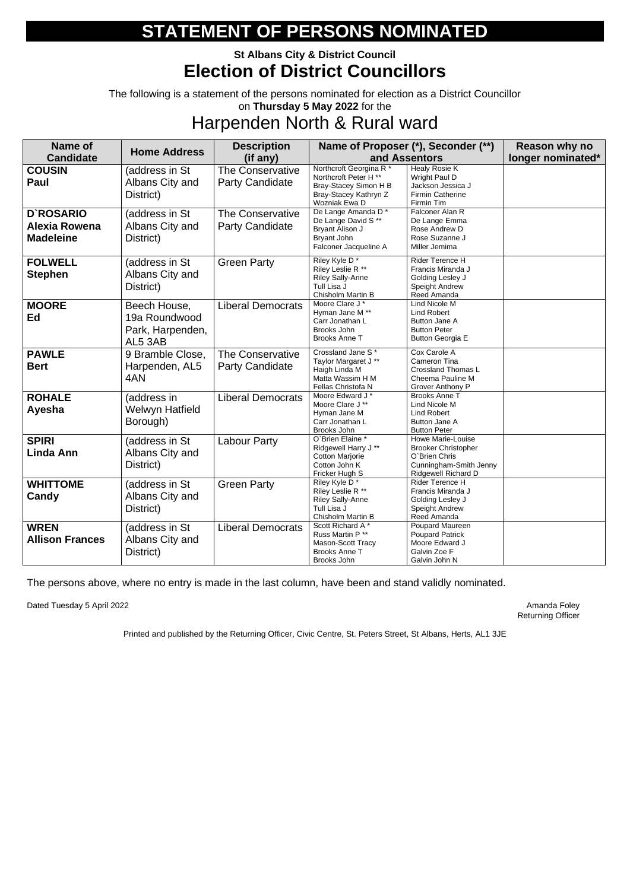### **St Albans City & District Council Election of District Councillors**

The following is a statement of the persons nominated for election as a District Councillor on **Thursday 5 May 2022** for the

### Harpenden North & Rural ward

| Name of                                                      | <b>Home Address</b>                                          | <b>Description</b>                                |                                                                                                                                | Name of Proposer (*), Seconder (**)                                                                                      | Reason why no     |
|--------------------------------------------------------------|--------------------------------------------------------------|---------------------------------------------------|--------------------------------------------------------------------------------------------------------------------------------|--------------------------------------------------------------------------------------------------------------------------|-------------------|
| <b>Candidate</b>                                             |                                                              | (if any)                                          |                                                                                                                                | and Assentors                                                                                                            | longer nominated* |
| <b>COUSIN</b><br>Paul                                        | (address in St<br>Albans City and<br>District)               | <b>The Conservative</b><br><b>Party Candidate</b> | Northcroft Georgina R <sup>*</sup><br>Northcroft Peter H **<br>Bray-Stacey Simon H B<br>Bray-Stacey Kathryn Z<br>Wozniak Ewa D | Healy Rosie K<br>Wright Paul D<br>Jackson Jessica J<br><b>Firmin Catherine</b><br>Firmin Tim                             |                   |
| <b>D'ROSARIO</b><br><b>Alexia Rowena</b><br><b>Madeleine</b> | (address in St<br>Albans City and<br>District)               | <b>The Conservative</b><br><b>Party Candidate</b> | De Lange Amanda D*<br>De Lange David S **<br>Bryant Alison J<br>Bryant John<br>Falconer Jacqueline A                           | Falconer Alan R<br>De Lange Emma<br>Rose Andrew D<br>Rose Suzanne J<br>Miller Jemima                                     |                   |
| <b>FOLWELL</b><br><b>Stephen</b>                             | (address in St<br>Albans City and<br>District)               | <b>Green Party</b>                                | Riley Kyle D*<br>Riley Leslie R **<br><b>Riley Sally-Anne</b><br>Tull Lisa J<br>Chisholm Martin B                              | Rider Terence H<br>Francis Miranda J<br>Golding Lesley J<br>Speight Andrew<br>Reed Amanda                                |                   |
| <b>MOORE</b><br>Ed                                           | Beech House,<br>19a Roundwood<br>Park, Harpenden,<br>AL5 3AB | <b>Liberal Democrats</b>                          | Moore Clare J *<br>Hyman Jane M **<br>Carr Jonathan L<br>Brooks John<br><b>Brooks Anne T</b>                                   | Lind Nicole M<br><b>Lind Robert</b><br><b>Button Jane A</b><br><b>Button Peter</b><br><b>Button Georgia E</b>            |                   |
| <b>PAWLE</b><br><b>Bert</b>                                  | 9 Bramble Close,<br>Harpenden, AL5<br>4AN                    | The Conservative<br><b>Party Candidate</b>        | Crossland Jane S*<br>Taylor Margaret J **<br>Haigh Linda M<br>Matta Wassim H M<br>Fellas Christofa N                           | Cox Carole A<br>Cameron Tina<br><b>Crossland Thomas L</b><br>Cheema Pauline M<br>Grover Anthony P                        |                   |
| <b>ROHALE</b><br>Ayesha                                      | (address in<br><b>Welwyn Hatfield</b><br>Borough)            | <b>Liberal Democrats</b>                          | Moore Edward J*<br>Moore Clare J **<br>Hyman Jane M<br>Carr Jonathan L<br>Brooks John                                          | <b>Brooks Anne T</b><br>Lind Nicole M<br><b>Lind Robert</b><br>Button Jane A<br><b>Button Peter</b>                      |                   |
| <b>SPIRI</b><br>Linda Ann                                    | (address in St<br>Albans City and<br>District)               | <b>Labour Party</b>                               | O'Brien Elaine *<br>Ridgewell Harry J **<br><b>Cotton Marjorie</b><br>Cotton John K<br>Fricker Hugh S                          | <b>Howe Marie-Louise</b><br><b>Brooker Christopher</b><br>O'Brien Chris<br>Cunningham-Smith Jenny<br>Ridgewell Richard D |                   |
| <b>WHITTOME</b><br>Candy                                     | (address in St<br>Albans City and<br>District)               | <b>Green Party</b>                                | Riley Kyle D*<br>Riley Leslie R **<br><b>Riley Sally-Anne</b><br>Tull Lisa J<br>Chisholm Martin B                              | Rider Terence H<br>Francis Miranda J<br>Golding Lesley J<br>Speight Andrew<br>Reed Amanda                                |                   |
| <b>WREN</b><br><b>Allison Frances</b>                        | (address in St<br>Albans City and<br>District)               | <b>Liberal Democrats</b>                          | Scott Richard A*<br>Russ Martin P**<br>Mason-Scott Tracy<br><b>Brooks Anne T</b><br>Brooks John                                | Poupard Maureen<br><b>Poupard Patrick</b><br>Moore Edward J<br>Galvin Zoe F<br>Galvin John N                             |                   |

The persons above, where no entry is made in the last column, have been and stand validly nominated.

Dated Tuesday 5 April 2022 **Amanda Foley** Amanda Foley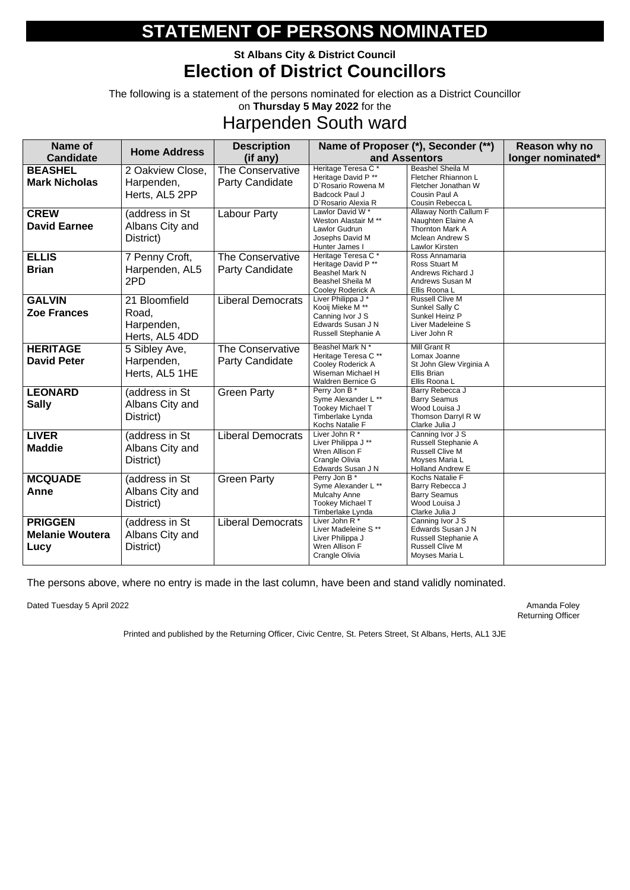### **St Albans City & District Council Election of District Councillors**

The following is a statement of the persons nominated for election as a District Councillor on **Thursday 5 May 2022** for the

## Harpenden South ward

| <b>Name of</b>                                   | <b>Home Address</b>                                    | <b>Description</b>                                |                                                                                                                  | Name of Proposer (*), Seconder (**)                                                                        | Reason why no     |
|--------------------------------------------------|--------------------------------------------------------|---------------------------------------------------|------------------------------------------------------------------------------------------------------------------|------------------------------------------------------------------------------------------------------------|-------------------|
| <b>Candidate</b>                                 |                                                        | (if any)                                          |                                                                                                                  | and Assentors                                                                                              | longer nominated* |
| <b>BEASHEL</b><br><b>Mark Nicholas</b>           | 2 Oakview Close,<br>Harpenden,<br>Herts, AL5 2PP       | <b>The Conservative</b><br><b>Party Candidate</b> | Heritage Teresa C*<br>Heritage David P**<br>D'Rosario Rowena M<br><b>Badcock Paul J</b><br>D'Rosario Alexia R    | <b>Beashel Sheila M</b><br>Fletcher Rhiannon L<br>Fletcher Jonathan W<br>Cousin Paul A<br>Cousin Rebecca L |                   |
| <b>CREW</b><br><b>David Earnee</b>               | (address in St<br>Albans City and<br>District)         | <b>Labour Party</b>                               | Lawlor David W*<br>Weston Alastair M **<br>Lawlor Gudrun<br>Josephs David M<br>Hunter James I                    | Allaway North Callum F<br>Naughten Elaine A<br><b>Thornton Mark A</b><br>Mclean Andrew S<br>Lawlor Kirsten |                   |
| <b>ELLIS</b><br><b>Brian</b>                     | 7 Penny Croft,<br>Harpenden, AL5<br>2PD                | The Conservative<br><b>Party Candidate</b>        | Heritage Teresa C*<br>Heritage David P **<br><b>Beashel Mark N</b><br>Beashel Sheila M<br>Cooley Roderick A      | Ross Annamaria<br>Ross Stuart M<br>Andrews Richard J<br>Andrews Susan M<br>Ellis Roona L                   |                   |
| <b>GALVIN</b><br><b>Zoe Frances</b>              | 21 Bloomfield<br>Road,<br>Harpenden,<br>Herts, AL5 4DD | <b>Liberal Democrats</b>                          | Liver Philippa J*<br>Kooij Mieke M <sup>**</sup><br>Canning Ivor J S<br>Edwards Susan J N<br>Russell Stephanie A | <b>Russell Clive M</b><br>Sunkel Sally C<br>Sunkel Heinz P<br>Liver Madeleine S<br>Liver John R            |                   |
| <b>HERITAGE</b><br><b>David Peter</b>            | 5 Sibley Ave,<br>Harpenden,<br>Herts, AL5 1HE          | <b>The Conservative</b><br><b>Party Candidate</b> | Beashel Mark N*<br>Heritage Teresa C**<br>Cooley Roderick A<br>Wiseman Michael H<br>Waldren Bernice G            | <b>Mill Grant R</b><br>Lomax Joanne<br>St John Glew Virginia A<br><b>Ellis Brian</b><br>Ellis Roona L      |                   |
| <b>LEONARD</b><br><b>Sally</b>                   | (address in St<br>Albans City and<br>District)         | <b>Green Party</b>                                | Perry Jon B *<br>Syme Alexander L **<br><b>Tookey Michael T</b><br>Timberlake Lynda<br>Kochs Natalie F           | Barry Rebecca J<br><b>Barry Seamus</b><br>Wood Louisa J<br>Thomson Darryl R W<br>Clarke Julia J            |                   |
| <b>LIVER</b><br><b>Maddie</b>                    | (address in St<br>Albans City and<br>District)         | <b>Liberal Democrats</b>                          | Liver John R*<br>Liver Philippa J **<br>Wren Allison F<br>Crangle Olivia<br>Edwards Susan J N                    | Canning Ivor J S<br>Russell Stephanie A<br><b>Russell Clive M</b><br>Moyses Maria L<br>Holland Andrew E    |                   |
| <b>MCQUADE</b><br>Anne                           | (address in St<br>Albans City and<br>District)         | <b>Green Party</b>                                | Perry Jon B*<br>Syme Alexander L **<br><b>Mulcahy Anne</b><br><b>Tookey Michael T</b><br>Timberlake Lynda        | Kochs Natalie F<br>Barry Rebecca J<br><b>Barry Seamus</b><br>Wood Louisa J<br>Clarke Julia J               |                   |
| <b>PRIGGEN</b><br><b>Melanie Woutera</b><br>Lucy | (address in St<br>Albans City and<br>District)         | <b>Liberal Democrats</b>                          | Liver John R*<br>Liver Madeleine S **<br>Liver Philippa J<br>Wren Allison F<br>Crangle Olivia                    | Canning Ivor J S<br>Edwards Susan J N<br>Russell Stephanie A<br><b>Russell Clive M</b><br>Moyses Maria L   |                   |

The persons above, where no entry is made in the last column, have been and stand validly nominated.

Dated Tuesday 5 April 2022 **Amanda Foley** Amanda Foley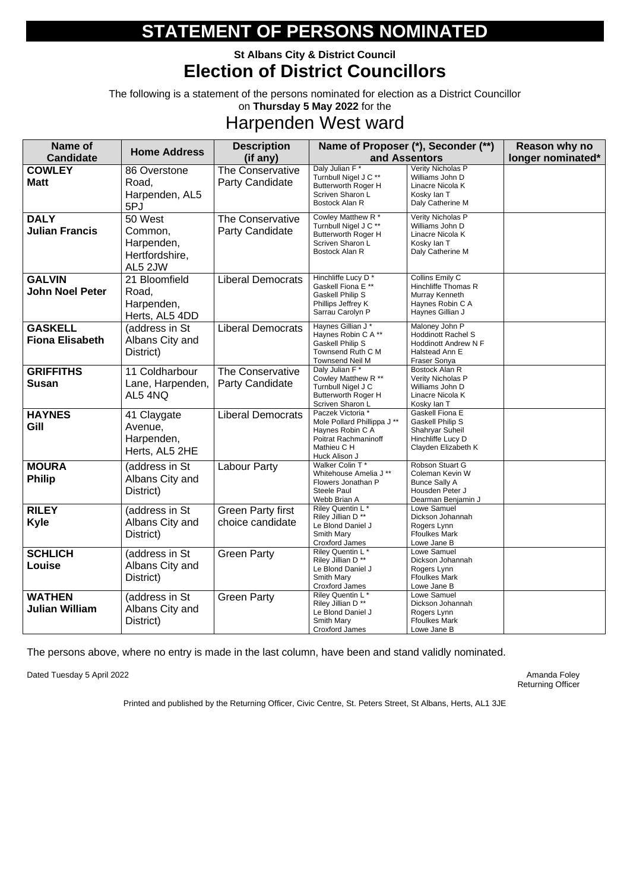### **St Albans City & District Council Election of District Councillors**

The following is a statement of the persons nominated for election as a District Councillor on **Thursday 5 May 2022** for the

## Harpenden West ward

| <b>Name of</b>                           | <b>Home Address</b>                                           | <b>Description</b>                                |                                                                                                                              | Name of Proposer (*), Seconder (**)                                                                          | Reason why no     |
|------------------------------------------|---------------------------------------------------------------|---------------------------------------------------|------------------------------------------------------------------------------------------------------------------------------|--------------------------------------------------------------------------------------------------------------|-------------------|
| <b>Candidate</b>                         |                                                               | (if any)                                          |                                                                                                                              | and Assentors                                                                                                | longer nominated* |
| <b>COWLEY</b><br><b>Matt</b>             | 86 Overstone<br>Road,<br>Harpenden, AL5<br>5PJ                | <b>The Conservative</b><br><b>Party Candidate</b> | Daly Julian F*<br>Turnbull Nigel J C **<br>Butterworth Roger H<br>Scriven Sharon L<br>Bostock Alan R                         | Verity Nicholas P<br>Williams John D<br>Linacre Nicola K<br>Kosky lan T<br>Daly Catherine M                  |                   |
| <b>DALY</b><br><b>Julian Francis</b>     | 50 West<br>Common,<br>Harpenden,<br>Hertfordshire,<br>AL5 2JW | <b>The Conservative</b><br><b>Party Candidate</b> | Cowley Matthew R *<br>Turnbull Nigel J C **<br><b>Butterworth Roger H</b><br>Scriven Sharon L<br>Bostock Alan R              | Verity Nicholas P<br>Williams John D<br>Linacre Nicola K<br>Kosky lan T<br>Daly Catherine M                  |                   |
| <b>GALVIN</b><br><b>John Noel Peter</b>  | 21 Bloomfield<br>Road,<br>Harpenden,<br>Herts, AL5 4DD        | <b>Liberal Democrats</b>                          | Hinchliffe Lucy D*<br>Gaskell Fiona E **<br><b>Gaskell Philip S</b><br>Phillips Jeffrey K<br>Sarrau Carolyn P                | Collins Emily C<br><b>Hinchliffe Thomas R</b><br>Murray Kenneth<br>Haynes Robin C A<br>Haynes Gillian J      |                   |
| <b>GASKELL</b><br><b>Fiona Elisabeth</b> | (address in St<br>Albans City and<br>District)                | <b>Liberal Democrats</b>                          | Haynes Gillian J*<br>Haynes Robin C A**<br><b>Gaskell Philip S</b><br>Townsend Ruth C M<br><b>Townsend Neil M</b>            | Maloney John P<br><b>Hoddinott Rachel S</b><br><b>Hoddinott Andrew N F</b><br>Halstead Ann E<br>Fraser Sonya |                   |
| <b>GRIFFITHS</b><br><b>Susan</b>         | 11 Coldharbour<br>Lane, Harpenden,<br>AL5 4NQ                 | The Conservative<br><b>Party Candidate</b>        | Daly Julian F*<br>Cowley Matthew R **<br>Turnbull Nigel J C<br><b>Butterworth Roger H</b><br>Scriven Sharon L                | Bostock Alan R<br>Verity Nicholas P<br>Williams John D<br>Linacre Nicola K<br>Kosky lan T                    |                   |
| <b>HAYNES</b><br>Gill                    | 41 Claygate<br>Avenue,<br>Harpenden,<br>Herts, AL5 2HE        | <b>Liberal Democrats</b>                          | Paczek Victoria *<br>Mole Pollard Phillippa J **<br>Haynes Robin C A<br>Poitrat Rachmaninoff<br>Mathieu C H<br>Huck Alison J | Gaskell Fiona E<br><b>Gaskell Philip S</b><br>Shahryar Suheil<br>Hinchliffe Lucy D<br>Clayden Elizabeth K    |                   |
| <b>MOURA</b><br><b>Philip</b>            | (address in St<br>Albans City and<br>District)                | Labour Party                                      | Walker Colin T*<br>Whitehouse Amelia J **<br>Flowers Jonathan P<br><b>Steele Paul</b><br>Webb Brian A                        | Robson Stuart G<br>Coleman Kevin W<br><b>Bunce Sally A</b><br>Housden Peter J<br>Dearman Benjamin J          |                   |
| <b>RILEY</b><br><b>Kyle</b>              | (address in St<br>Albans City and<br>District)                | <b>Green Party first</b><br>choice candidate      | Riley Quentin L*<br>Riley Jillian D <sup>**</sup><br>Le Blond Daniel J<br>Smith Mary<br><b>Croxford James</b>                | Lowe Samuel<br>Dickson Johannah<br>Rogers Lynn<br><b>Ffoulkes Mark</b><br>Lowe Jane B                        |                   |
| <b>SCHLICH</b><br><b>Louise</b>          | (address in St<br>Albans City and<br>District)                | <b>Green Party</b>                                | Riley Quentin L*<br>Riley Jillian D <sup>**</sup><br>Le Blond Daniel J<br>Smith Mary<br><b>Croxford James</b>                | Lowe Samuel<br>Dickson Johannah<br>Rogers Lynn<br><b>Ffoulkes Mark</b><br>Lowe Jane B                        |                   |
| <b>WATHEN</b><br><b>Julian William</b>   | (address in St<br>Albans City and<br>District)                | <b>Green Party</b>                                | Riley Quentin L*<br>Riley Jillian D <sup>**</sup><br>Le Blond Daniel J<br>Smith Mary<br><b>Croxford James</b>                | Lowe Samuel<br>Dickson Johannah<br>Rogers Lynn<br><b>Ffoulkes Mark</b><br>Lowe Jane B                        |                   |

The persons above, where no entry is made in the last column, have been and stand validly nominated.

Dated Tuesday 5 April 2022

Amanda Foley<br>Returning Officer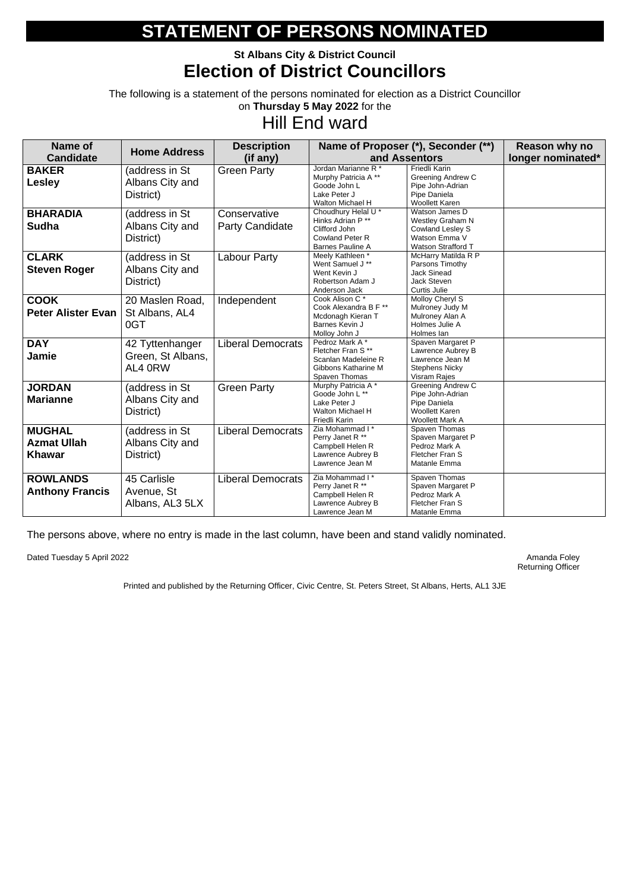### **St Albans City & District Council Election of District Councillors**

The following is a statement of the persons nominated for election as a District Councillor on **Thursday 5 May 2022** for the

## Hill End ward

| <b>Name of</b>                                       | <b>Home Address</b>                             | <b>Description</b>                     |                                                                                                         | Name of Proposer (*), Seconder (**)                                                                                | Reason why no     |
|------------------------------------------------------|-------------------------------------------------|----------------------------------------|---------------------------------------------------------------------------------------------------------|--------------------------------------------------------------------------------------------------------------------|-------------------|
| <b>Candidate</b>                                     |                                                 | (if any)                               |                                                                                                         | and Assentors                                                                                                      | longer nominated* |
| <b>BAKER</b><br><b>Lesley</b>                        | (address in St<br>Albans City and<br>District)  | <b>Green Party</b>                     | Jordan Marianne R *<br>Murphy Patricia A**<br>Goode John L<br>Lake Peter J<br>Walton Michael H          | <b>Friedli Karin</b><br><b>Greening Andrew C</b><br>Pipe John-Adrian<br>Pipe Daniela<br><b>Woollett Karen</b>      |                   |
| <b>BHARADIA</b><br><b>Sudha</b>                      | (address in St<br>Albans City and<br>District)  | Conservative<br><b>Party Candidate</b> | Choudhury Helal U *<br>Hinks Adrian P **<br>Clifford John<br><b>Cowland Peter R</b><br>Barnes Pauline A | Watson James D<br><b>Westley Graham N</b><br><b>Cowland Lesley S</b><br>Watson Emma V<br><b>Watson Strafford T</b> |                   |
| <b>CLARK</b><br><b>Steven Roger</b>                  | (address in St<br>Albans City and<br>District)  | <b>Labour Party</b>                    | Meely Kathleen *<br>Went Samuel J **<br>Went Kevin J<br>Robertson Adam J<br>Anderson Jack               | McHarry Matilda R P<br>Parsons Timothy<br><b>Jack Sinead</b><br><b>Jack Steven</b><br>Curtis Julie                 |                   |
| <b>COOK</b><br><b>Peter Alister Evan</b>             | 20 Maslen Road,<br>St Albans, AL4<br>0GT        | Independent                            | Cook Alison C*<br>Cook Alexandra B F **<br>Mcdonagh Kieran T<br>Barnes Kevin J<br>Molloy John J         | Molloy Cheryl S<br>Mulroney Judy M<br>Mulroney Alan A<br>Holmes Julie A<br>Holmes lan                              |                   |
| <b>DAY</b><br><b>Jamie</b>                           | 42 Tyttenhanger<br>Green, St Albans,<br>AL4 0RW | <b>Liberal Democrats</b>               | Pedroz Mark A*<br>Fletcher Fran S**<br>Scanlan Madeleine R<br>Gibbons Katharine M<br>Spaven Thomas      | Spaven Margaret P<br>Lawrence Aubrey B<br>Lawrence Jean M<br><b>Stephens Nicky</b><br>Visram Rajes                 |                   |
| <b>JORDAN</b><br><b>Marianne</b>                     | (address in St<br>Albans City and<br>District)  | <b>Green Party</b>                     | Murphy Patricia A*<br>Goode John L **<br>Lake Peter J<br>Walton Michael H<br>Friedli Karin              | <b>Greening Andrew C</b><br>Pipe John-Adrian<br>Pipe Daniela<br><b>Woollett Karen</b><br><b>Woollett Mark A</b>    |                   |
| <b>MUGHAL</b><br><b>Azmat Ullah</b><br><b>Khawar</b> | (address in St<br>Albans City and<br>District)  | <b>Liberal Democrats</b>               | Zia Mohammad I*<br>Perry Janet R **<br>Campbell Helen R<br>Lawrence Aubrey B<br>Lawrence Jean M         | Spaven Thomas<br>Spaven Margaret P<br>Pedroz Mark A<br>Fletcher Fran S<br>Matanle Emma                             |                   |
| <b>ROWLANDS</b><br><b>Anthony Francis</b>            | 45 Carlisle<br>Avenue, St<br>Albans, AL3 5LX    | <b>Liberal Democrats</b>               | Zia Mohammad I*<br>Perry Janet R **<br>Campbell Helen R<br>Lawrence Aubrey B<br>Lawrence Jean M         | Spaven Thomas<br>Spaven Margaret P<br>Pedroz Mark A<br>Fletcher Fran S<br>Matanle Emma                             |                   |

The persons above, where no entry is made in the last column, have been and stand validly nominated.

Dated Tuesday 5 April 2022 **Amanda Foley** Amanda Foley

Returning Officer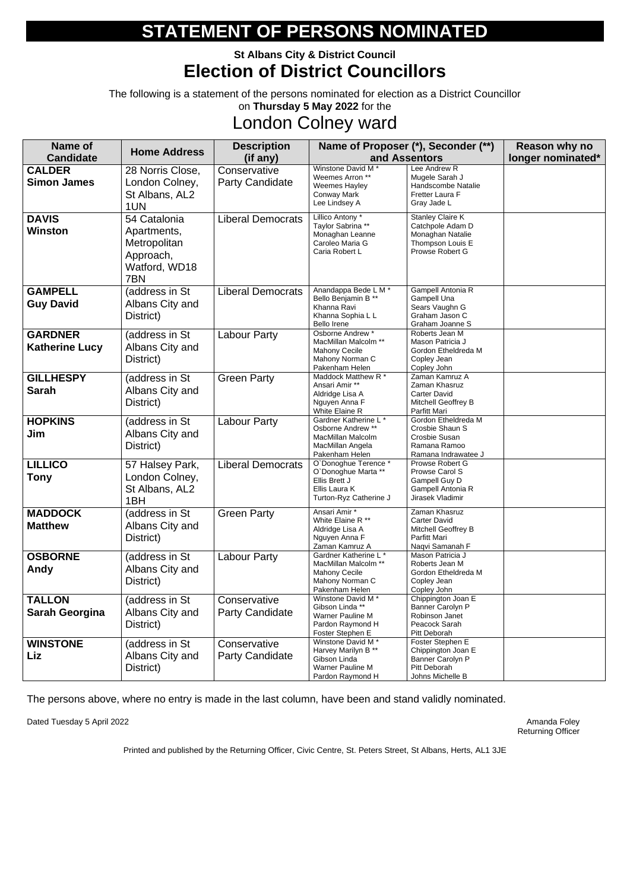### **St Albans City & District Council Election of District Councillors**

The following is a statement of the persons nominated for election as a District Councillor on **Thursday 5 May 2022** for the

## London Colney ward

| Name of<br><b>Candidate</b>             | <b>Home Address</b>                                                              | <b>Description</b><br>(if any)         |                                                                                                                     | Name of Proposer (*), Seconder (**)<br>and Assentors                                                   | Reason why no<br>longer nominated* |
|-----------------------------------------|----------------------------------------------------------------------------------|----------------------------------------|---------------------------------------------------------------------------------------------------------------------|--------------------------------------------------------------------------------------------------------|------------------------------------|
| <b>CALDER</b><br><b>Simon James</b>     | 28 Norris Close,<br>London Colney,<br>St Albans, AL2<br>1UN                      | Conservative<br><b>Party Candidate</b> | Winstone David M <sup>*</sup><br>Weemes Arron **<br>Weemes Hayley<br><b>Conway Mark</b><br>Lee Lindsey A            | Lee Andrew R<br>Mugele Sarah J<br>Handscombe Natalie<br>Fretter Laura F<br>Gray Jade L                 |                                    |
| <b>DAVIS</b><br><b>Winston</b>          | 54 Catalonia<br>Apartments,<br>Metropolitan<br>Approach,<br>Watford, WD18<br>7BN | <b>Liberal Democrats</b>               | Lillico Antony *<br>Taylor Sabrina **<br>Monaghan Leanne<br>Caroleo Maria G<br>Caria Robert L                       | <b>Stanley Claire K</b><br>Catchpole Adam D<br>Monaghan Natalie<br>Thompson Louis E<br>Prowse Robert G |                                    |
| <b>GAMPELL</b><br><b>Guy David</b>      | (address in St<br>Albans City and<br>District)                                   | <b>Liberal Democrats</b>               | Anandappa Bede L M *<br>Bello Benjamin B **<br>Khanna Ravi<br>Khanna Sophia L L<br><b>Bello Irene</b>               | Gampell Antonia R<br><b>Gampell Una</b><br>Sears Vaughn G<br>Graham Jason C<br>Graham Joanne S         |                                    |
| <b>GARDNER</b><br><b>Katherine Lucy</b> | (address in St<br>Albans City and<br>District)                                   | <b>Labour Party</b>                    | Osborne Andrew *<br>MacMillan Malcolm **<br>Mahony Cecile<br>Mahony Norman C<br>Pakenham Helen                      | Roberts Jean M<br>Mason Patricia J<br>Gordon Etheldreda M<br>Copley Jean<br>Copley John                |                                    |
| <b>GILLHESPY</b><br><b>Sarah</b>        | (address in St<br>Albans City and<br>District)                                   | <b>Green Party</b>                     | Maddock Matthew R *<br>Ansari Amir **<br>Aldridge Lisa A<br>Nguyen Anna F<br>White Elaine R                         | Zaman Kamruz A<br>Zaman Khasruz<br><b>Carter David</b><br>Mitchell Geoffrey B<br>Parfitt Mari          |                                    |
| <b>HOPKINS</b><br>Jim                   | (address in St<br>Albans City and<br>District)                                   | <b>Labour Party</b>                    | Gardner Katherine L*<br>Osborne Andrew **<br>MacMillan Malcolm<br>MacMillan Angela<br>Pakenham Helen                | Gordon Etheldreda M<br>Crosbie Shaun S<br>Crosbie Susan<br>Ramana Ramoo<br>Ramana Indrawatee J         |                                    |
| <b>LILLICO</b><br><b>Tony</b>           | 57 Halsey Park,<br>London Colney,<br>St Albans, AL2<br>1BH                       | <b>Liberal Democrats</b>               | O'Donoghue Terence *<br>O`Donoghue Marta **<br>Ellis Brett J<br>Ellis Laura K<br>Turton-Ryz Catherine J             | Prowse Robert G<br>Prowse Carol S<br>Gampell Guy D<br>Gampell Antonia R<br>Jirasek Vladimir            |                                    |
| <b>MADDOCK</b><br><b>Matthew</b>        | (address in St<br>Albans City and<br>District)                                   | <b>Green Party</b>                     | Ansari Amir *<br>White Elaine R **<br>Aldridge Lisa A<br>Nguyen Anna F<br>Zaman Kamruz A                            | Zaman Khasruz<br><b>Carter David</b><br>Mitchell Geoffrey B<br>Parfitt Mari<br>Naqvi Samanah F         |                                    |
| <b>OSBORNE</b><br>Andy                  | (address in St<br>Albans City and<br>District)                                   | Labour Party                           | Gardner Katherine L*<br>MacMillan Malcolm **<br><b>Mahony Cecile</b><br>Mahony Norman C<br>Pakenham Helen           | Mason Patricia J<br>Roberts Jean M<br>Gordon Etheldreda M<br>Copley Jean<br>Copley John                |                                    |
| <b>TALLON</b><br><b>Sarah Georgina</b>  | (address in St<br>Albans City and<br>District)                                   | Conservative<br><b>Party Candidate</b> | Winstone David M <sup>*</sup><br>Gibson Linda **<br><b>Warner Pauline M</b><br>Pardon Raymond H<br>Foster Stephen E | Chippington Joan E<br>Banner Carolyn P<br>Robinson Janet<br>Peacock Sarah<br>Pitt Deborah              |                                    |
| <b>WINSTONE</b><br>Liz                  | (address in St<br>Albans City and<br>District)                                   | Conservative<br><b>Party Candidate</b> | Winstone David M *<br>Harvey Marilyn B **<br>Gibson Linda<br><b>Warner Pauline M</b><br>Pardon Raymond H            | Foster Stephen E<br>Chippington Joan E<br>Banner Carolyn P<br>Pitt Deborah<br>Johns Michelle B         |                                    |

The persons above, where no entry is made in the last column, have been and stand validly nominated.

Dated Tuesday 5 April 2022 **Amanda Foley** Amanda Foley

Returning Officer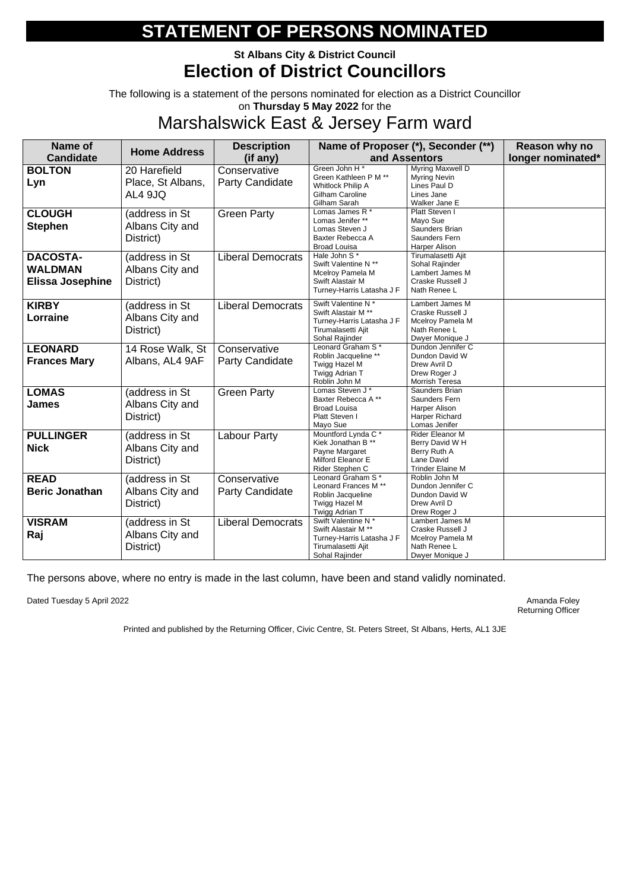### **St Albans City & District Council Election of District Councillors**

The following is a statement of the persons nominated for election as a District Councillor on **Thursday 5 May 2022** for the

## Marshalswick East & Jersey Farm ward

| <b>Name of</b>                                        | <b>Home Address</b>                            | <b>Description</b>                     |                                                                                                                   | Name of Proposer (*), Seconder (**)                                                         | <b>Reason why no</b> |
|-------------------------------------------------------|------------------------------------------------|----------------------------------------|-------------------------------------------------------------------------------------------------------------------|---------------------------------------------------------------------------------------------|----------------------|
| <b>Candidate</b>                                      |                                                | (if any)                               |                                                                                                                   | and Assentors                                                                               | longer nominated*    |
| <b>BOLTON</b><br>Lyn                                  | 20 Harefield<br>Place, St Albans,<br>AL4 9JQ   | Conservative<br><b>Party Candidate</b> | Green John H <sup>*</sup><br>Green Kathleen P M **<br><b>Whitlock Philip A</b><br>Gilham Caroline<br>Gilham Sarah | Myring Maxwell D<br><b>Myring Nevin</b><br>Lines Paul D<br>Lines Jane<br>Walker Jane E      |                      |
| <b>CLOUGH</b><br><b>Stephen</b>                       | (address in St<br>Albans City and<br>District) | <b>Green Party</b>                     | Lomas James R *<br>Lomas Jenifer **<br>Lomas Steven J<br>Baxter Rebecca A<br><b>Broad Louisa</b>                  | Platt Steven I<br>Mayo Sue<br>Saunders Brian<br>Saunders Fern<br>Harper Alison              |                      |
| <b>DACOSTA-</b><br><b>WALDMAN</b><br>Elissa Josephine | (address in St<br>Albans City and<br>District) | <b>Liberal Democrats</b>               | Hale John S*<br>Swift Valentine N **<br>Mcelroy Pamela M<br>Swift Alastair M<br>Turney-Harris Latasha J F         | Tirumalasetti Ajit<br>Sohal Rajinder<br>Lambert James M<br>Craske Russell J<br>Nath Renee L |                      |
| <b>KIRBY</b><br>Lorraine                              | (address in St<br>Albans City and<br>District) | <b>Liberal Democrats</b>               | Swift Valentine N*<br>Swift Alastair M **<br>Turney-Harris Latasha J F<br>Tirumalasetti Ajit<br>Sohal Rajinder    | Lambert James M<br>Craske Russell J<br>Mcelroy Pamela M<br>Nath Renee L<br>Dwyer Monique J  |                      |
| <b>LEONARD</b><br><b>Frances Mary</b>                 | 14 Rose Walk, St<br>Albans, AL4 9AF            | Conservative<br><b>Party Candidate</b> | Leonard Graham S*<br>Roblin Jacqueline **<br>Twigg Hazel M<br>Twigg Adrian T<br>Roblin John M                     | Dundon Jennifer C<br>Dundon David W<br>Drew Avril D<br>Drew Roger J<br>Morrish Teresa       |                      |
| <b>LOMAS</b><br><b>James</b>                          | (address in St<br>Albans City and<br>District) | <b>Green Party</b>                     | Lomas Steven J *<br>Baxter Rebecca A**<br><b>Broad Louisa</b><br>Platt Steven I<br>Mayo Sue                       | Saunders Brian<br>Saunders Fern<br>Harper Alison<br>Harper Richard<br>Lomas Jenifer         |                      |
| <b>PULLINGER</b><br><b>Nick</b>                       | (address in St<br>Albans City and<br>District) | Labour Party                           | Mountford Lynda C*<br>Kiek Jonathan B **<br>Payne Margaret<br>Milford Eleanor E<br>Rider Stephen C                | Rider Eleanor M<br>Berry David W H<br>Berry Ruth A<br>Lane David<br><b>Trinder Elaine M</b> |                      |
| <b>READ</b><br><b>Beric Jonathan</b>                  | (address in St<br>Albans City and<br>District) | Conservative<br><b>Party Candidate</b> | Leonard Graham S*<br>Leonard Frances M **<br>Roblin Jacqueline<br>Twigg Hazel M<br>Twigg Adrian T                 | Roblin John M<br>Dundon Jennifer C<br>Dundon David W<br>Drew Avril D<br>Drew Roger J        |                      |
| <b>VISRAM</b><br>Raj                                  | (address in St<br>Albans City and<br>District) | <b>Liberal Democrats</b>               | Swift Valentine N *<br>Swift Alastair M **<br>Turney-Harris Latasha J F<br>Tirumalasetti Ajit<br>Sohal Rajinder   | Lambert James M<br>Craske Russell J<br>Mcelroy Pamela M<br>Nath Renee L<br>Dwyer Monique J  |                      |

The persons above, where no entry is made in the last column, have been and stand validly nominated.

Dated Tuesday 5 April 2022 **Amanda Foley** Amanda Foley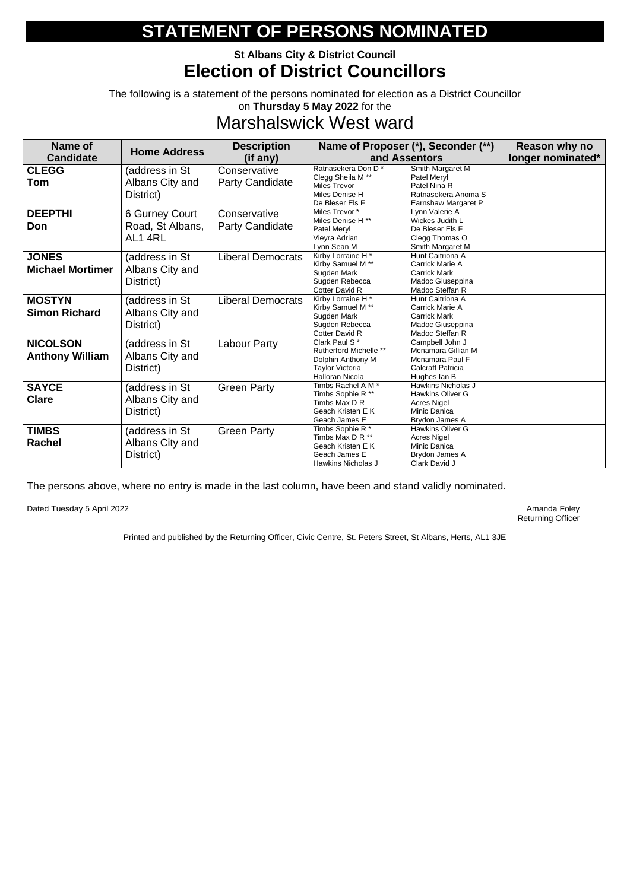### **St Albans City & District Council Election of District Councillors**

The following is a statement of the persons nominated for election as a District Councillor on **Thursday 5 May 2022** for the

## Marshalswick West ward

| <b>Name of</b><br><b>Candidate</b>        | <b>Home Address</b>                                  | <b>Description</b><br>(if any)         |                                                                                                                                     | Name of Proposer (*), Seconder (**)<br>and Assentors                                                 | Reason why no<br>longer nominated* |
|-------------------------------------------|------------------------------------------------------|----------------------------------------|-------------------------------------------------------------------------------------------------------------------------------------|------------------------------------------------------------------------------------------------------|------------------------------------|
| <b>CLEGG</b><br><b>Tom</b>                | (address in St<br>Albans City and<br>District)       | Conservative<br><b>Party Candidate</b> | Ratnasekera Don D <sup>*</sup><br>Clegg Sheila M <sup>**</sup><br><b>Miles Trevor</b><br>Miles Denise H<br>De Bleser Els F          | Smith Margaret M<br>Patel Meryl<br>Patel Nina R<br>Ratnasekera Anoma S<br>Earnshaw Margaret P        |                                    |
| <b>DEEPTHI</b><br>Don                     | <b>6 Gurney Court</b><br>Road, St Albans,<br>AL1 4RL | Conservative<br><b>Party Candidate</b> | Miles Trevor *<br>Miles Denise H **<br>Patel Meryl<br>Vieyra Adrian<br>Lynn Sean M                                                  | Lynn Valerie A<br>Wickes Judith L<br>De Bleser Els F<br>Clegg Thomas O<br>Smith Margaret M           |                                    |
| <b>JONES</b><br><b>Michael Mortimer</b>   | (address in St<br>Albans City and<br>District)       | <b>Liberal Democrats</b>               | Kirby Lorraine $H^*$<br>Kirby Samuel M <sup>**</sup><br>Sugden Mark<br>Sugden Rebecca<br><b>Cotter David R</b>                      | Hunt Caitriona A<br>Carrick Marie A<br><b>Carrick Mark</b><br>Madoc Giuseppina<br>Madoc Steffan R    |                                    |
| <b>MOSTYN</b><br><b>Simon Richard</b>     | (address in St<br>Albans City and<br>District)       | <b>Liberal Democrats</b>               | Kirby Lorraine H*<br>Kirby Samuel M <sup>**</sup><br>Sugden Mark<br>Sugden Rebecca<br>Cotter David R                                | Hunt Caitriona A<br>Carrick Marie A<br><b>Carrick Mark</b><br>Madoc Giuseppina<br>Madoc Steffan R    |                                    |
| <b>NICOLSON</b><br><b>Anthony William</b> | (address in St<br>Albans City and<br>District)       | <b>Labour Party</b>                    | Clark Paul S <sup>*</sup><br><b>Rutherford Michelle **</b><br>Dolphin Anthony M<br><b>Taylor Victoria</b><br><b>Halloran Nicola</b> | Campbell John J<br>Mcnamara Gillian M<br>Mcnamara Paul F<br><b>Calcraft Patricia</b><br>Hughes Ian B |                                    |
| <b>SAYCE</b><br><b>Clare</b>              | (address in St<br>Albans City and<br>District)       | <b>Green Party</b>                     | Timbs Rachel A M *<br>Timbs Sophie R **<br>Timbs Max D R<br>Geach Kristen E K<br>Geach James E                                      | Hawkins Nicholas J<br>Hawkins Oliver G<br><b>Acres Nigel</b><br>Minic Danica<br>Brydon James A       |                                    |
| <b>TIMBS</b><br><b>Rachel</b>             | (address in St<br>Albans City and<br>District)       | <b>Green Party</b>                     | Timbs Sophie R*<br>Timbs Max D R **<br>Geach Kristen E K<br>Geach James E<br>Hawkins Nicholas J                                     | Hawkins Oliver G<br><b>Acres Nigel</b><br>Minic Danica<br>Brydon James A<br>Clark David J            |                                    |

The persons above, where no entry is made in the last column, have been and stand validly nominated.

Dated Tuesday 5 April 2022 **Amanda Foley** Amanda Foley

Returning Officer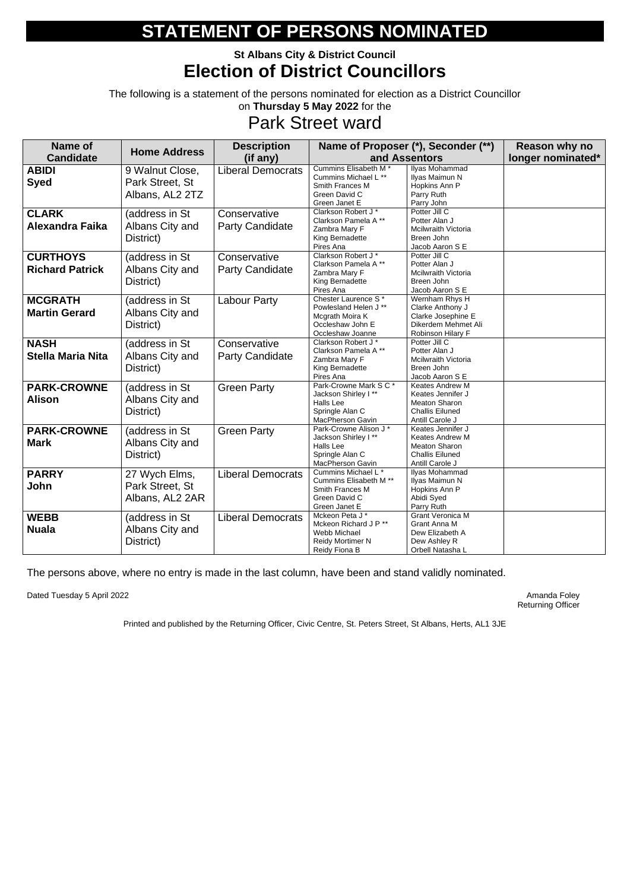### **St Albans City & District Council Election of District Councillors**

The following is a statement of the persons nominated for election as a District Councillor on **Thursday 5 May 2022** for the

## Park Street ward

| <b>Name of</b>           | <b>Home Address</b> | <b>Description</b>       |                                              | Name of Proposer (*), Seconder (**)       |  |  |
|--------------------------|---------------------|--------------------------|----------------------------------------------|-------------------------------------------|--|--|
| <b>Candidate</b>         |                     | (if any)                 |                                              | and Assentors                             |  |  |
| <b>ABIDI</b>             | 9 Walnut Close,     | <b>Liberal Democrats</b> | Cummins Elisabeth M <sup>*</sup>             | Ilyas Mohammad                            |  |  |
| <b>Syed</b>              | Park Street, St     |                          | Cummins Michael L **                         | Ilyas Maimun N                            |  |  |
|                          |                     |                          | Smith Frances M                              | Hopkins Ann P                             |  |  |
|                          | Albans, AL2 2TZ     |                          | Green David C<br>Green Janet E               | Parry Ruth<br>Parry John                  |  |  |
|                          |                     |                          | Clarkson Robert J*                           | Potter Jill C                             |  |  |
| <b>CLARK</b>             | (address in St      | Conservative             | Clarkson Pamela A**                          | Potter Alan J                             |  |  |
| <b>Alexandra Faika</b>   | Albans City and     | <b>Party Candidate</b>   | Zambra Mary F                                | <b>Mcilwraith Victoria</b>                |  |  |
|                          | District)           |                          | King Bernadette                              | Breen John                                |  |  |
|                          |                     |                          | Pires Ana                                    | Jacob Aaron S E                           |  |  |
| <b>CURTHOYS</b>          | (address in St      | Conservative             | Clarkson Robert J*                           | Potter Jill C                             |  |  |
| <b>Richard Patrick</b>   | Albans City and     | <b>Party Candidate</b>   | Clarkson Pamela A**                          | Potter Alan J                             |  |  |
|                          |                     |                          | Zambra Mary F                                | Mcilwraith Victoria                       |  |  |
|                          | District)           |                          | King Bernadette                              | Breen John                                |  |  |
|                          |                     |                          | Pires Ana<br>Chester Laurence S*             | Jacob Aaron S E<br>Wernham Rhys H         |  |  |
| <b>MCGRATH</b>           | (address in St      | <b>Labour Party</b>      | Powlesland Helen J **                        | Clarke Anthony J                          |  |  |
| <b>Martin Gerard</b>     | Albans City and     |                          | Mcgrath Moira K                              | Clarke Josephine E                        |  |  |
|                          | District)           |                          | Occleshaw John E                             | Dikerdem Mehmet Ali                       |  |  |
|                          |                     |                          | Occleshaw Joanne                             | Robinson Hilary F                         |  |  |
| <b>NASH</b>              | (address in St      | Conservative             | Clarkson Robert J*                           | Potter Jill C                             |  |  |
| <b>Stella Maria Nita</b> | Albans City and     | <b>Party Candidate</b>   | Clarkson Pamela A**                          | Potter Alan J                             |  |  |
|                          |                     |                          | Zambra Mary F                                | <b>Mcilwraith Victoria</b>                |  |  |
|                          | District)           |                          | King Bernadette                              | Breen John                                |  |  |
|                          |                     |                          | Pires Ana<br>Park-Crowne Mark S C *          | Jacob Aaron S E<br><b>Keates Andrew M</b> |  |  |
| <b>PARK-CROWNE</b>       | (address in St      | <b>Green Party</b>       | Jackson Shirley I**                          | Keates Jennifer J                         |  |  |
| <b>Alison</b>            | Albans City and     |                          | Halls Lee                                    | <b>Meaton Sharon</b>                      |  |  |
|                          | District)           |                          | Springle Alan C                              | <b>Challis Eiluned</b>                    |  |  |
|                          |                     |                          | MacPherson Gavin                             | Antill Carole J                           |  |  |
| <b>PARK-CROWNE</b>       | (address in St      | <b>Green Party</b>       | Park-Crowne Alison J *                       | Keates Jennifer J                         |  |  |
| <b>Mark</b>              |                     |                          | Jackson Shirley I**                          | <b>Keates Andrew M</b>                    |  |  |
|                          | Albans City and     |                          | Halls Lee                                    | <b>Meaton Sharon</b>                      |  |  |
|                          | District)           |                          | Springle Alan C                              | <b>Challis Eiluned</b>                    |  |  |
|                          |                     |                          | MacPherson Gavin                             | Antill Carole J                           |  |  |
| <b>PARRY</b>             | 27 Wych Elms,       | <b>Liberal Democrats</b> | Cummins Michael L*<br>Cummins Elisabeth M ** | Ilyas Mohammad<br>Ilyas Maimun N          |  |  |
| John                     | Park Street, St     |                          | Smith Frances M                              | Hopkins Ann P                             |  |  |
|                          | Albans, AL2 2AR     |                          | Green David C                                | Abidi Syed                                |  |  |
|                          |                     |                          | Green Janet E                                | Parry Ruth                                |  |  |
| <b>WEBB</b>              | (address in St      | <b>Liberal Democrats</b> | Mckeon Peta J*                               | <b>Grant Veronica M</b>                   |  |  |
|                          |                     |                          | Mckeon Richard J P <sup>**</sup>             | Grant Anna M                              |  |  |
| <b>Nuala</b>             | Albans City and     |                          | Webb Michael                                 | Dew Elizabeth A                           |  |  |
|                          | District)           |                          | Reidy Mortimer N                             | Dew Ashley R                              |  |  |
|                          |                     |                          | Reidy Fiona B                                | Orbell Natasha L                          |  |  |

The persons above, where no entry is made in the last column, have been and stand validly nominated.

Dated Tuesday 5 April 2022 **Amanda Foley** Amanda Foley

Returning Officer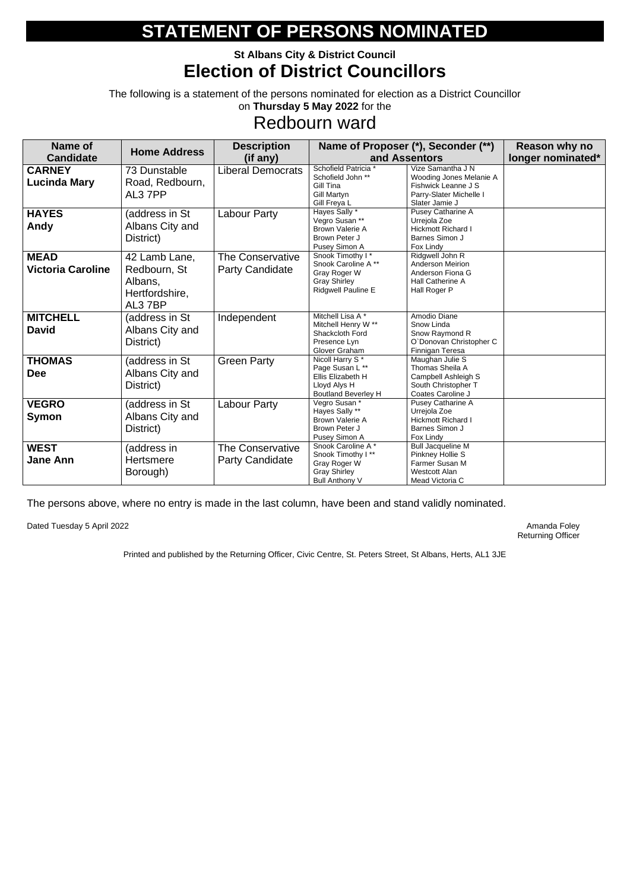### **St Albans City & District Council Election of District Councillors**

The following is a statement of the persons nominated for election as a District Councillor on **Thursday 5 May 2022** for the

## Redbourn ward

| <b>Name of</b><br><b>Candidate</b>      | <b>Home Address</b>                                                  | <b>Description</b><br>(if any)                    |                                                                                                                   | Name of Proposer (*), Seconder (**)<br>and Assentors                                                             | Reason why no<br>longer nominated* |
|-----------------------------------------|----------------------------------------------------------------------|---------------------------------------------------|-------------------------------------------------------------------------------------------------------------------|------------------------------------------------------------------------------------------------------------------|------------------------------------|
| <b>CARNEY</b><br><b>Lucinda Mary</b>    | 73 Dunstable<br>Road, Redbourn,<br>AL3 7PP                           | <b>Liberal Democrats</b>                          | Schofield Patricia *<br>Schofield John **<br>Gill Tina<br><b>Gill Martyn</b><br>Gill Freya L                      | Vize Samantha J N<br>Wooding Jones Melanie A<br>Fishwick Leanne J S<br>Parry-Slater Michelle I<br>Slater Jamie J |                                    |
| <b>HAYES</b><br>Andy                    | (address in St<br>Albans City and<br>District)                       | <b>Labour Party</b>                               | Hayes Sally *<br>Vegro Susan **<br><b>Brown Valerie A</b><br>Brown Peter J<br>Pusey Simon A                       | Pusey Catharine A<br>Urrejola Zoe<br><b>Hickmott Richard I</b><br><b>Barnes Simon J</b><br>Fox Lindy             |                                    |
| <b>MEAD</b><br><b>Victoria Caroline</b> | 42 Lamb Lane,<br>Redbourn, St<br>Albans,<br>Hertfordshire,<br>AL37BP | <b>The Conservative</b><br><b>Party Candidate</b> | Snook Timothy I*<br>Snook Caroline A**<br>Gray Roger W<br><b>Gray Shirley</b><br>Ridgwell Pauline E               | Ridgwell John R<br>Anderson Meirion<br>Anderson Fiona G<br>Hall Catherine A<br>Hall Roger P                      |                                    |
| <b>MITCHELL</b><br><b>David</b>         | (address in St<br>Albans City and<br>District)                       | Independent                                       | Mitchell Lisa A*<br>Mitchell Henry W **<br>Shackcloth Ford<br>Presence Lyn<br>Glover Graham                       | Amodio Diane<br>Snow Linda<br>Snow Raymond R<br>O'Donovan Christopher C<br>Finnigan Teresa                       |                                    |
| <b>THOMAS</b><br><b>Dee</b>             | (address in St<br>Albans City and<br>District)                       | <b>Green Party</b>                                | Nicoll Harry S <sup>*</sup><br>Page Susan L **<br>Ellis Elizabeth H<br>Lloyd Alys H<br><b>Boutland Beverley H</b> | Maughan Julie S<br>Thomas Sheila A<br>Campbell Ashleigh S<br>South Christopher T<br>Coates Caroline J            |                                    |
| <b>VEGRO</b><br><b>Symon</b>            | (address in St<br>Albans City and<br>District)                       | <b>Labour Party</b>                               | Vegro Susan *<br>Hayes Sally **<br><b>Brown Valerie A</b><br>Brown Peter J<br>Pusey Simon A                       | Pusey Catharine A<br>Urrejola Zoe<br><b>Hickmott Richard I</b><br><b>Barnes Simon J</b><br>Fox Lindy             |                                    |
| <b>WEST</b><br><b>Jane Ann</b>          | (address in<br><b>Hertsmere</b><br>Borough)                          | The Conservative<br><b>Party Candidate</b>        | Snook Caroline A*<br>Snook Timothy I**<br>Gray Roger W<br><b>Gray Shirley</b><br><b>Bull Anthony V</b>            | <b>Bull Jacqueline M</b><br>Pinkney Hollie S<br>Farmer Susan M<br><b>Westcott Alan</b><br>Mead Victoria C        |                                    |

The persons above, where no entry is made in the last column, have been and stand validly nominated.

Dated Tuesday 5 April 2022 **Amanda Foley** Amanda Foley

Returning Officer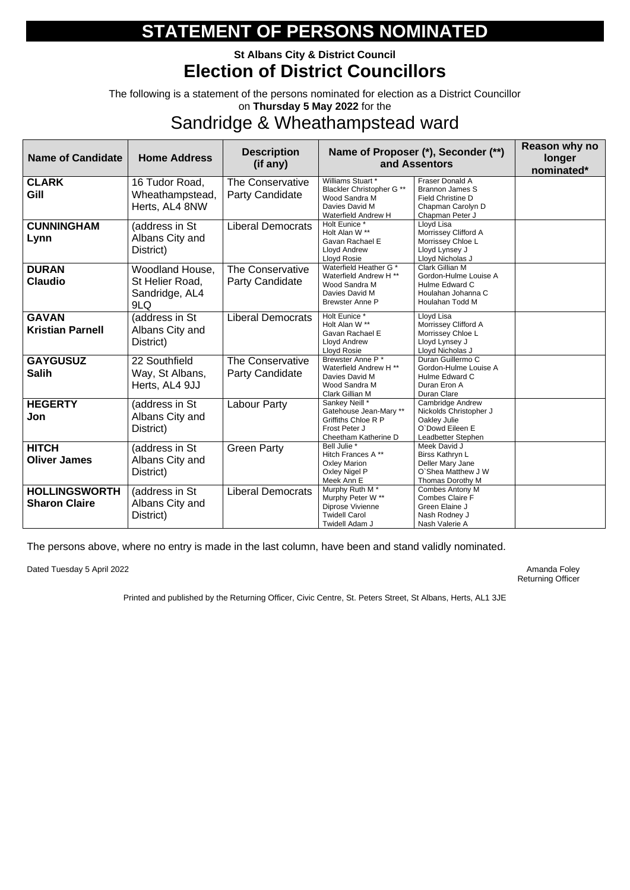### **St Albans City & District Council Election of District Councillors**

The following is a statement of the persons nominated for election as a District Councillor on **Thursday 5 May 2022** for the

### Sandridge & Wheathampstead ward

| <b>Name of Candidate</b>                     | <b>Home Address</b>                                         | <b>Description</b><br>(if any)                    |                                                                                                               | Name of Proposer (*), Seconder (**)<br>and Assentors                                                       | Reason why no<br>longer<br>nominated* |
|----------------------------------------------|-------------------------------------------------------------|---------------------------------------------------|---------------------------------------------------------------------------------------------------------------|------------------------------------------------------------------------------------------------------------|---------------------------------------|
| <b>CLARK</b><br>Gill                         | 16 Tudor Road,<br>Wheathampstead,<br>Herts, AL4 8NW         | <b>The Conservative</b><br><b>Party Candidate</b> | Williams Stuart *<br>Blackler Christopher G **<br>Wood Sandra M<br>Davies David M<br>Waterfield Andrew H      | Fraser Donald A<br><b>Brannon James S</b><br>Field Christine D<br>Chapman Carolyn D<br>Chapman Peter J     |                                       |
| <b>CUNNINGHAM</b><br>Lynn                    | (address in St<br>Albans City and<br>District)              | <b>Liberal Democrats</b>                          | Holt Eunice *<br>Holt Alan W **<br>Gavan Rachael E<br><b>Lloyd Andrew</b><br>Lloyd Rosie                      | Lloyd Lisa<br>Morrissey Clifford A<br>Morrissey Chloe L<br>Lloyd Lynsey J<br>Lloyd Nicholas J              |                                       |
| <b>DURAN</b><br><b>Claudio</b>               | Woodland House,<br>St Helier Road,<br>Sandridge, AL4<br>9LQ | <b>The Conservative</b><br><b>Party Candidate</b> | Waterfield Heather G *<br>Waterfield Andrew H **<br>Wood Sandra M<br>Davies David M<br><b>Brewster Anne P</b> | <b>Clark Gillian M</b><br>Gordon-Hulme Louise A<br>Hulme Edward C<br>Houlahan Johanna C<br>Houlahan Todd M |                                       |
| <b>GAVAN</b><br><b>Kristian Parnell</b>      | (address in St<br>Albans City and<br>District)              | <b>Liberal Democrats</b>                          | Holt Eunice *<br>Holt Alan W **<br>Gavan Rachael E<br><b>Lloyd Andrew</b><br>Lloyd Rosie                      | Lloyd Lisa<br>Morrissey Clifford A<br>Morrissey Chloe L<br>Lloyd Lynsey J<br>Lloyd Nicholas J              |                                       |
| <b>GAYGUSUZ</b><br><b>Salih</b>              | 22 Southfield<br>Way, St Albans,<br>Herts, AL4 9JJ          | <b>The Conservative</b><br><b>Party Candidate</b> | Brewster Anne P*<br>Waterfield Andrew H **<br>Davies David M<br>Wood Sandra M<br>Clark Gillian M              | Duran Guillermo C<br>Gordon-Hulme Louise A<br>Hulme Edward C<br>Duran Eron A<br>Duran Clare                |                                       |
| <b>HEGERTY</b><br>Jon                        | (address in St<br>Albans City and<br>District)              | <b>Labour Party</b>                               | Sankey Neill *<br>Gatehouse Jean-Mary **<br>Griffiths Chloe R P<br>Frost Peter J<br>Cheetham Katherine D      | Cambridge Andrew<br>Nickolds Christopher J<br>Oakley Julie<br>O'Dowd Eileen E<br>Leadbetter Stephen        |                                       |
| <b>HITCH</b><br><b>Oliver James</b>          | (address in St<br>Albans City and<br>District)              | <b>Green Party</b>                                | Bell Julie *<br>Hitch Frances A**<br><b>Oxley Marion</b><br>Oxley Nigel P<br>Meek Ann E                       | Meek David J<br>Birss Kathryn L<br>Deller Mary Jane<br>O'Shea Matthew J W<br>Thomas Dorothy M              |                                       |
| <b>HOLLINGSWORTH</b><br><b>Sharon Claire</b> | (address in St<br>Albans City and<br>District)              | <b>Liberal Democrats</b>                          | Murphy Ruth M <sup>*</sup><br>Murphy Peter W **<br>Diprose Vivienne<br><b>Twidell Carol</b><br>Twidell Adam J | Combes Antony M<br>Combes Claire F<br>Green Elaine J<br>Nash Rodney J<br>Nash Valerie A                    |                                       |

The persons above, where no entry is made in the last column, have been and stand validly nominated.

Dated Tuesday 5 April 2022 **Amanda Foley** Amanda Foley

Returning Officer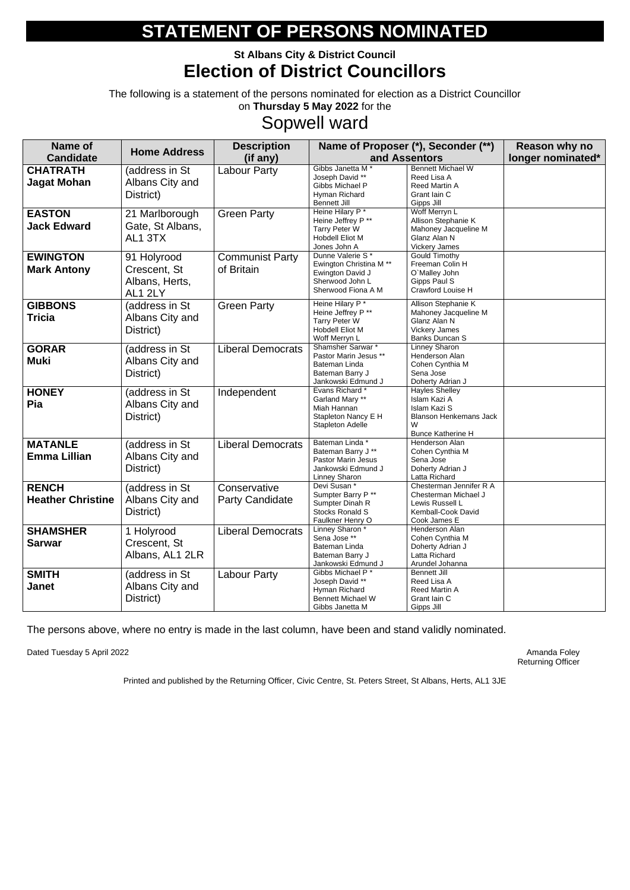### **St Albans City & District Council Election of District Councillors**

The following is a statement of the persons nominated for election as a District Councillor on **Thursday 5 May 2022** for the

## Sopwell ward

| Name of                                  | <b>Home Address</b>                                      | <b>Description</b>                     |                                                                                                                     | Name of Proposer (*), Seconder (**)                                                                                     | Reason why no     |
|------------------------------------------|----------------------------------------------------------|----------------------------------------|---------------------------------------------------------------------------------------------------------------------|-------------------------------------------------------------------------------------------------------------------------|-------------------|
| <b>Candidate</b>                         |                                                          | (if any)                               |                                                                                                                     | and Assentors                                                                                                           | longer nominated* |
| <b>CHATRATH</b><br><b>Jagat Mohan</b>    | (address in St<br>Albans City and<br>District)           | <b>Labour Party</b>                    | Gibbs Janetta M <sup>*</sup><br>Joseph David **<br>Gibbs Michael P<br>Hyman Richard<br><b>Bennett Jill</b>          | <b>Bennett Michael W</b><br>Reed Lisa A<br><b>Reed Martin A</b><br>Grant Iain C<br>Gipps Jill                           |                   |
| <b>EASTON</b><br><b>Jack Edward</b>      | 21 Marlborough<br>Gate, St Albans,<br>AL1 3TX            | <b>Green Party</b>                     | Heine Hilary P*<br>Heine Jeffrey P **<br><b>Tarry Peter W</b><br><b>Hobdell Eliot M</b><br>Jones John A             | Woff Merryn L<br>Allison Stephanie K<br>Mahoney Jacqueline M<br>Glanz Alan N<br><b>Vickery James</b>                    |                   |
| <b>EWINGTON</b><br><b>Mark Antony</b>    | 91 Holyrood<br>Crescent, St<br>Albans, Herts,<br>AL1 2LY | <b>Communist Party</b><br>of Britain   | Dunne Valerie S*<br>Ewington Christina M <sup>**</sup><br>Ewington David J<br>Sherwood John L<br>Sherwood Fiona A M | <b>Gould Timothy</b><br>Freeman Colin H<br>O'Malley John<br>Gipps Paul S<br>Crawford Louise H                           |                   |
| <b>GIBBONS</b><br><b>Tricia</b>          | (address in St<br>Albans City and<br>District)           | <b>Green Party</b>                     | Heine Hilary P*<br>Heine Jeffrey P **<br><b>Tarry Peter W</b><br><b>Hobdell Eliot M</b><br>Woff Merryn L            | Allison Stephanie K<br>Mahoney Jacqueline M<br>Glanz Alan N<br><b>Vickery James</b><br>Banks Duncan S                   |                   |
| <b>GORAR</b><br><b>Muki</b>              | (address in St<br>Albans City and<br>District)           | <b>Liberal Democrats</b>               | Shamsher Sarwar *<br>Pastor Marin Jesus **<br>Bateman Linda<br>Bateman Barry J<br>Jankowski Edmund J                | Linney Sharon<br>Henderson Alan<br>Cohen Cynthia M<br>Sena Jose<br>Doherty Adrian J                                     |                   |
| <b>HONEY</b><br>Pia                      | (address in St<br>Albans City and<br>District)           | Independent                            | Evans Richard*<br>Garland Mary **<br>Miah Hannan<br>Stapleton Nancy E H<br><b>Stapleton Adelle</b>                  | <b>Hayles Shelley</b><br>Islam Kazi A<br>Islam Kazi S<br><b>Blanson Henkemans Jack</b><br>W<br><b>Bunce Katherine H</b> |                   |
| <b>MATANLE</b><br><b>Emma Lillian</b>    | (address in St<br>Albans City and<br>District)           | <b>Liberal Democrats</b>               | Bateman Linda*<br>Bateman Barry J **<br><b>Pastor Marin Jesus</b><br>Jankowski Edmund J<br>Linney Sharon            | Henderson Alan<br>Cohen Cynthia M<br>Sena Jose<br>Doherty Adrian J<br>Latta Richard                                     |                   |
| <b>RENCH</b><br><b>Heather Christine</b> | (address in St<br>Albans City and<br>District)           | Conservative<br><b>Party Candidate</b> | Devi Susan *<br>Sumpter Barry P**<br>Sumpter Dinah R<br>Stocks Ronald S<br>Faulkner Henry O                         | Chesterman Jennifer R A<br>Chesterman Michael J<br>Lewis Russell L<br>Kemball-Cook David<br>Cook James E                |                   |
| <b>SHAMSHER</b><br><b>Sarwar</b>         | 1 Holyrood<br>Crescent, St<br>Albans, AL1 2LR            | <b>Liberal Democrats</b>               | Linney Sharon *<br>Sena Jose **<br>Bateman Linda<br>Bateman Barry J<br>Jankowski Edmund J                           | Henderson Alan<br>Cohen Cynthia M<br>Doherty Adrian J<br>Latta Richard<br>Arundel Johanna                               |                   |
| <b>SMITH</b><br><b>Janet</b>             | (address in St<br>Albans City and<br>District)           | Labour Party                           | Gibbs Michael P*<br>Joseph David **<br>Hyman Richard<br><b>Bennett Michael W</b><br>Gibbs Janetta M                 | <b>Bennett Jill</b><br>Reed Lisa A<br><b>Reed Martin A</b><br>Grant Iain C<br>Gipps Jill                                |                   |

The persons above, where no entry is made in the last column, have been and stand validly nominated.

Dated Tuesday 5 April 2022 **Amanda Foley** Amanda Foley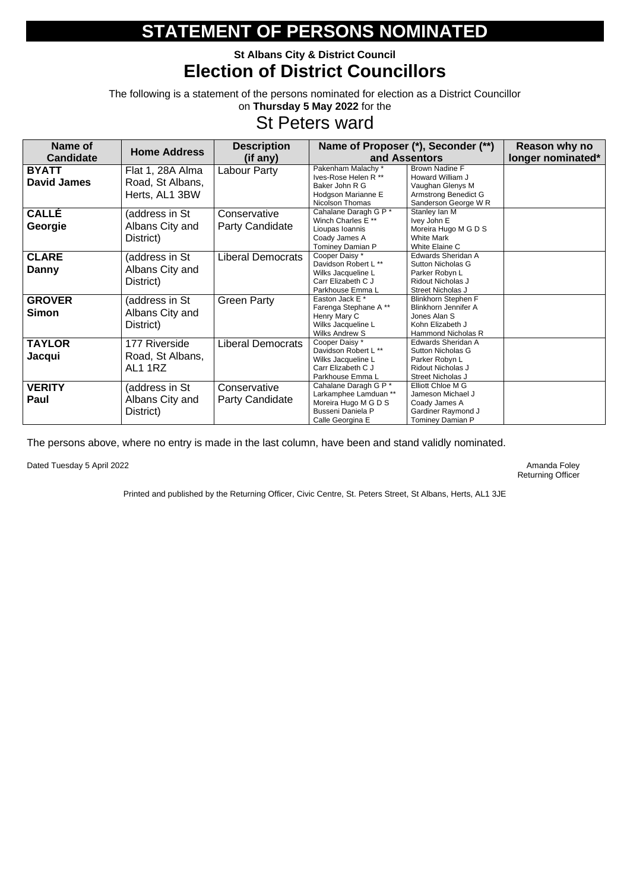### **St Albans City & District Council Election of District Councillors**

The following is a statement of the persons nominated for election as a District Councillor on **Thursday 5 May 2022** for the

## St Peters ward

| Name of                            | <b>Home Address</b>                                    | <b>Description</b>                     |                                                                                                                 | Name of Proposer (*), Seconder (**)                                                                                        | Reason why no     |
|------------------------------------|--------------------------------------------------------|----------------------------------------|-----------------------------------------------------------------------------------------------------------------|----------------------------------------------------------------------------------------------------------------------------|-------------------|
| <b>Candidate</b>                   |                                                        | (if any)                               |                                                                                                                 | and Assentors                                                                                                              | longer nominated* |
| <b>BYATT</b><br><b>David James</b> | Flat 1, 28A Alma<br>Road, St Albans,<br>Herts, AL1 3BW | <b>Labour Party</b>                    | Pakenham Malachy *<br>Ives-Rose Helen R **<br>Baker John R G<br>Hodgson Marianne E<br>Nicolson Thomas           | <b>Brown Nadine F</b><br>Howard William J<br>Vaughan Glenys M<br>Armstrong Benedict G<br>Sanderson George W R              |                   |
| <b>CALLÉ</b><br>Georgie            | (address in St<br>Albans City and<br>District)         | Conservative<br><b>Party Candidate</b> | Cahalane Daragh G P *<br>Winch Charles E **<br>Lioupas Ioannis<br>Coady James A<br>Tominey Damian P             | Stanley Ian M<br>Ivey John E<br>Moreira Hugo M G D S<br><b>White Mark</b><br>White Elaine C                                |                   |
| <b>CLARE</b><br>Danny              | (address in St<br>Albans City and<br>District)         | <b>Liberal Democrats</b>               | Cooper Daisy *<br>Davidson Robert L **<br>Wilks Jacqueline L<br>Carr Elizabeth C J<br>Parkhouse Emma L          | Edwards Sheridan A<br><b>Sutton Nicholas G</b><br>Parker Robyn L<br>Ridout Nicholas J<br>Street Nicholas J                 |                   |
| <b>GROVER</b><br><b>Simon</b>      | (address in St<br>Albans City and<br>District)         | <b>Green Party</b>                     | Easton Jack E *<br>Farenga Stephane A**<br>Henry Mary C<br>Wilks Jacqueline L<br><b>Wilks Andrew S</b>          | <b>Blinkhorn Stephen F</b><br><b>Blinkhorn Jennifer A</b><br>Jones Alan S<br>Kohn Elizabeth J<br><b>Hammond Nicholas R</b> |                   |
| <b>TAYLOR</b><br>Jacqui            | 177 Riverside<br>Road, St Albans,<br>AL1 1RZ           | <b>Liberal Democrats</b>               | Cooper Daisy *<br>Davidson Robert L **<br>Wilks Jacqueline L<br>Carr Elizabeth C J<br>Parkhouse Emma L          | Edwards Sheridan A<br><b>Sutton Nicholas G</b><br>Parker Robyn L<br>Ridout Nicholas J<br>Street Nicholas J                 |                   |
| <b>VERITY</b><br>Paul              | (address in St<br>Albans City and<br>District)         | Conservative<br><b>Party Candidate</b> | Cahalane Daragh G P *<br>Larkamphee Lamduan **<br>Moreira Hugo M G D S<br>Busseni Daniela P<br>Calle Georgina E | <b>Elliott Chloe M G</b><br>Jameson Michael J<br>Coady James A<br>Gardiner Raymond J<br>Tominey Damian P                   |                   |

The persons above, where no entry is made in the last column, have been and stand validly nominated.

Dated Tuesday 5 April 2022 **Amanda Foley** Amanda Foley

Returning Officer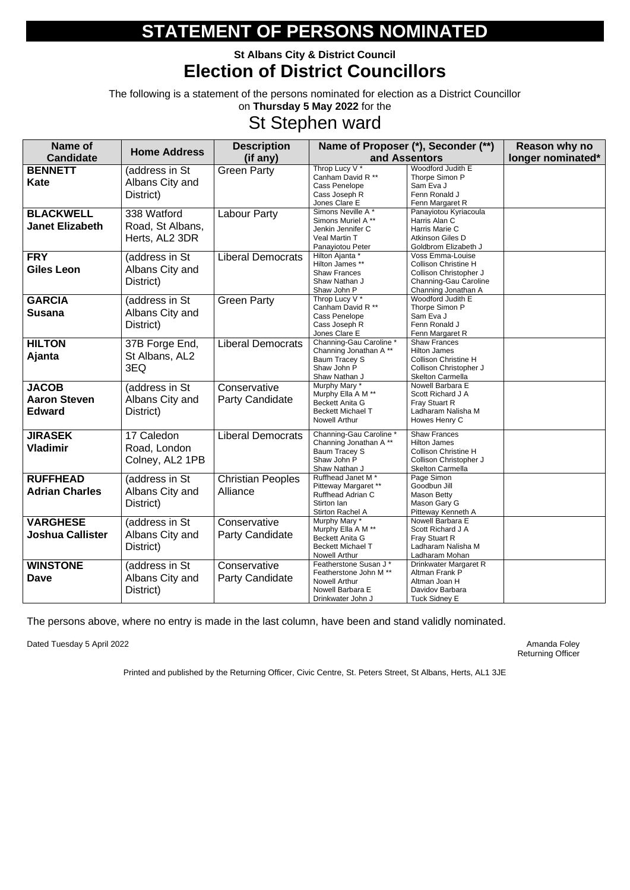### **St Albans City & District Council Election of District Councillors**

The following is a statement of the persons nominated for election as a District Councillor on **Thursday 5 May 2022** for the

## St Stephen ward

| <b>Name of</b>                                       | <b>Home Address</b>                               | <b>Description</b>                     |                                                                                                                       | Name of Proposer (*), Seconder (**)                                                                                            | Reason why no     |
|------------------------------------------------------|---------------------------------------------------|----------------------------------------|-----------------------------------------------------------------------------------------------------------------------|--------------------------------------------------------------------------------------------------------------------------------|-------------------|
| <b>Candidate</b>                                     |                                                   | (if any)                               |                                                                                                                       | and Assentors                                                                                                                  | longer nominated* |
| <b>BENNETT</b><br><b>Kate</b>                        | (address in St<br>Albans City and<br>District)    | <b>Green Party</b>                     | Throp Lucy V <sup>*</sup><br>Canham David R **<br>Cass Penelope<br>Cass Joseph R<br>Jones Clare E                     | Woodford Judith E<br>Thorpe Simon P<br>Sam Eva J<br>Fenn Ronald J<br>Fenn Margaret R                                           |                   |
| <b>BLACKWELL</b><br><b>Janet Elizabeth</b>           | 338 Watford<br>Road, St Albans,<br>Herts, AL2 3DR | <b>Labour Party</b>                    | Simons Neville A*<br>Simons Muriel A **<br>Jenkin Jennifer C<br>Veal Martin T<br>Panayiotou Peter                     | Panayiotou Kyriacoula<br>Harris Alan C<br>Harris Marie C<br>Atkinson Giles D<br>Goldbrom Elizabeth J                           |                   |
| <b>FRY</b><br><b>Giles Leon</b>                      | (address in St<br>Albans City and<br>District)    | <b>Liberal Democrats</b>               | Hilton Ajanta *<br>Hilton James **<br><b>Shaw Frances</b><br>Shaw Nathan J<br>Shaw John P                             | Voss Emma-Louise<br><b>Collison Christine H</b><br>Collison Christopher J<br>Channing-Gau Caroline<br>Channing Jonathan A      |                   |
| <b>GARCIA</b><br><b>Susana</b>                       | (address in St<br>Albans City and<br>District)    | <b>Green Party</b>                     | Throp Lucy $V^*$<br>Canham David R **<br>Cass Penelope<br>Cass Joseph R<br>Jones Clare E                              | Woodford Judith E<br>Thorpe Simon P<br>Sam Eva J<br>Fenn Ronald J<br>Fenn Margaret R                                           |                   |
| <b>HILTON</b><br>Ajanta                              | 37B Forge End,<br>St Albans, AL2<br>3EQ           | <b>Liberal Democrats</b>               | Channing-Gau Caroline *<br>Channing Jonathan A**<br><b>Baum Tracey S</b><br>Shaw John P<br>Shaw Nathan J              | <b>Shaw Frances</b><br><b>Hilton James</b><br><b>Collison Christine H</b><br>Collison Christopher J<br><b>Skelton Carmella</b> |                   |
| <b>JACOB</b><br><b>Aaron Steven</b><br><b>Edward</b> | (address in St<br>Albans City and<br>District)    | Conservative<br><b>Party Candidate</b> | Murphy Mary *<br>Murphy Ella A M <sup>**</sup><br><b>Beckett Anita G</b><br><b>Beckett Michael T</b><br>Nowell Arthur | Nowell Barbara E<br>Scott Richard J A<br>Fray Stuart R<br>Ladharam Nalisha M<br>Howes Henry C                                  |                   |
| <b>JIRASEK</b><br><b>Vladimir</b>                    | 17 Caledon<br>Road, London<br>Colney, AL2 1PB     | <b>Liberal Democrats</b>               | Channing-Gau Caroline *<br>Channing Jonathan A**<br>Baum Tracey S<br>Shaw John P<br>Shaw Nathan J                     | <b>Shaw Frances</b><br><b>Hilton James</b><br><b>Collison Christine H</b><br>Collison Christopher J<br><b>Skelton Carmella</b> |                   |
| <b>RUFFHEAD</b><br><b>Adrian Charles</b>             | (address in St<br>Albans City and<br>District)    | <b>Christian Peoples</b><br>Alliance   | Ruffhead Janet M <sup>*</sup><br>Pitteway Margaret **<br><b>Ruffhead Adrian C</b><br>Stirton Ian<br>Stirton Rachel A  | Page Simon<br>Goodbun Jill<br>Mason Betty<br>Mason Gary G<br>Pitteway Kenneth A                                                |                   |
| <b>VARGHESE</b><br><b>Joshua Callister</b>           | (address in St<br>Albans City and<br>District)    | Conservative<br><b>Party Candidate</b> | Murphy Mary *<br>Murphy Ella A M <sup>**</sup><br>Beckett Anita G<br><b>Beckett Michael T</b><br>Nowell Arthur        | Nowell Barbara E<br>Scott Richard J A<br>Fray Stuart R<br>Ladharam Nalisha M<br>Ladharam Mohan                                 |                   |
| <b>WINSTONE</b><br><b>Dave</b>                       | (address in St<br>Albans City and<br>District)    | Conservative<br><b>Party Candidate</b> | Featherstone Susan J*<br>Featherstone John M **<br>Nowell Arthur<br>Nowell Barbara E<br>Drinkwater John J             | Drinkwater Margaret R<br>Altman Frank P<br>Altman Joan H<br>Davidov Barbara<br><b>Tuck Sidney E</b>                            |                   |

The persons above, where no entry is made in the last column, have been and stand validly nominated.

Dated Tuesday 5 April 2022 **Amanda Foley** Amanda Foley